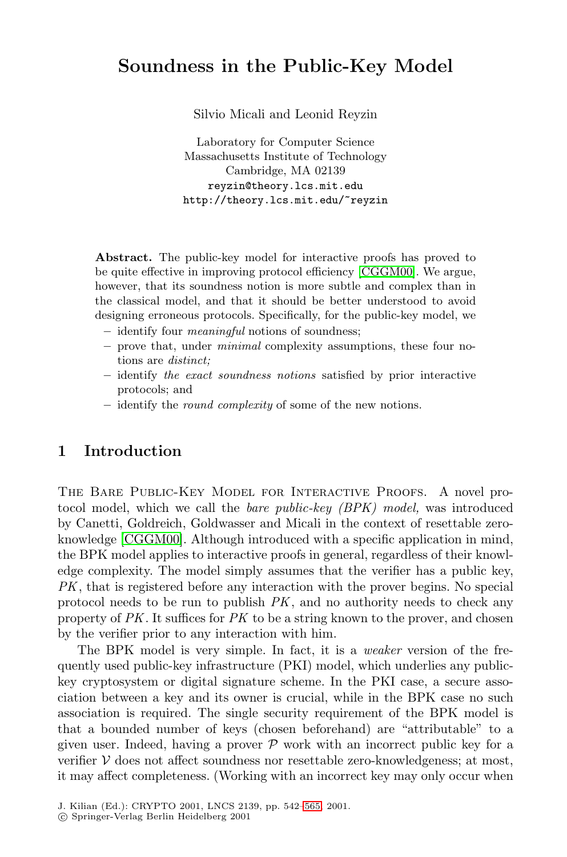# **Soundness in the Public-Key Model**

Silvio Micali and Leonid Reyzin

Laboratory for Computer Science Massachusetts Institute of Technology Cambridge, MA 02139 reyzin@theory.lcs.mit.edu http://theory.lcs.mit.edu/˜reyzin

**Abstract.** The public-key model for interactive proofs has proved to be quite effective in improving protocol efficiency [CGGM00]. We argue, however, that its soundness notion is more subtle and complex than in the classical model, and that it should be better understood to avoid designing erroneous protocols. Specifically, for the public-key model, we

- **–** identify four meaningful notions of soundness;
- **–** prove that, under minimal complexity assumptions, these four notions are distinct;
- **–** identify the exact soundness notions satisfied by prior interactive protocols; and
- **–** identify the round complexity of some of the new notions.

## **1 Introduction**

THE BARE PUBLIC-KEY MODEL FOR INTERACTIVE PROOFS. A novel protocol model, which we call the bare public-key (BPK) model, was introduced by Canetti, Goldreich, Goldwasser and Micali in the context of resettable zeroknowledge [CGGM00]. Although introduced with a specific application in mind, the BPK model applies to interactive proofs in general, regardless of their knowledge complexity. The model simply assumes that the verifier has a public key, PK, that is registered before any interaction with the prover begins. No special protocol needs to be run to publish PK, and no authority needs to check any property of  $PK$ . It suffices for  $PK$  to be a string known to the prover, and chosen by the verifier prior to any interaction with him.

The BPK model is very simple. In fact, it is a weaker version of the frequently used public-key infrastructure (PKI) model, which underlies any publickey cryptosystem or digital signature scheme. In the PKI case, a secure association between a key and its owner is crucial, while in the BPK case no such association is required. The single security requirement of the BPK model is that a bounded number of keys (chosen beforehand) are "attributable" to a given user. Indeed, having a prover  $P$  work with an incorrect public key for a verifier  $V$  does not affect soundness nor resettable zero-knowledgeness; at most, it may affect completeness. (Working with an incorrect key may only occur when

J. Kilian (Ed.): CRYPTO 2001, LNCS 2139, pp. 542–565, 2001.

c Springer-Verlag Berlin Heidelberg 2001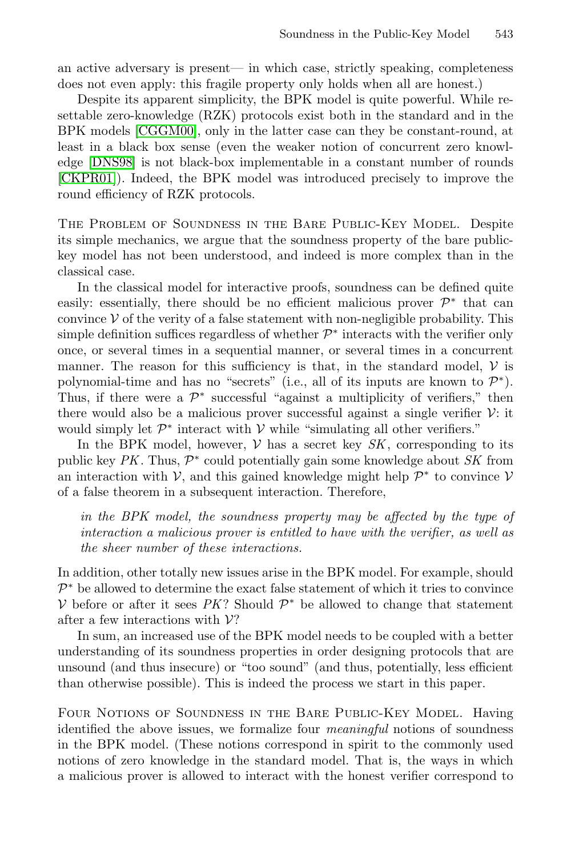an active adversary is present— in which case, strictly speaking, completeness does not even apply: this fragile property only holds when all are honest.)

Despite its apparent simplicity, the BPK model is quite powerful. While resettable zero-knowledge (RZK) protocols exist both in the standard and in the BPK models [\[CGGM00\]](#page-18-0), only in the latter case can they be constant-round, at least in a black box sense (even the weaker notion of concurrent zero knowledge [\[DNS98\]](#page-18-0) is not black-box implementable in a constant number of rounds [\[CKPR01\]](#page-18-0)). Indeed, the BPK model was introduced precisely to improve the round efficiency of RZK protocols.

The Problem of Soundness in the Bare Public-Key Model. Despite its simple mechanics, we argue that the soundness property of the bare publickey model has not been understood, and indeed is more complex than in the classical case.

In the classical model for interactive proofs, soundness can be defined quite easily: essentially, there should be no efficient malicious prover  $\mathcal{P}^*$  that can convince  $V$  of the verity of a false statement with non-negligible probability. This simple definition suffices regardless of whether  $\mathcal{P}^*$  interacts with the verifier only once, or several times in a sequential manner, or several times in a concurrent manner. The reason for this sufficiency is that, in the standard model,  $\nu$  is polynomial-time and has no "secrets" (i.e., all of its inputs are known to  $\mathcal{P}^*$ ). Thus, if there were a  $\mathcal{P}^*$  successful "against a multiplicity of verifiers," then there would also be a malicious prover successful against a single verifier  $\mathcal{V}$ : it would simply let  $\mathcal{P}^*$  interact with V while "simulating all other verifiers."

In the BPK model, however,  $V$  has a secret key  $SK$ , corresponding to its public key  $PK$ . Thus,  $\mathcal{P}^*$  could potentially gain some knowledge about SK from an interaction with  $\mathcal{V}$ , and this gained knowledge might help  $\mathcal{P}^*$  to convince  $\mathcal{V}$ of a false theorem in a subsequent interaction. Therefore,

in the BPK model, the soundness property may be affected by the type of interaction a malicious prover is entitled to have with the verifier, as well as the sheer number of these interactions.

In addition, other totally new issues arise in the BPK model. For example, should  $\mathcal{P}^*$  be allowed to determine the exact false statement of which it tries to convince V before or after it sees  $PK$ ? Should  $\mathcal{P}^*$  be allowed to change that statement after a few interactions with  $V$ ?

In sum, an increased use of the BPK model needs to be coupled with a better understanding of its soundness properties in order designing protocols that are unsound (and thus insecure) or "too sound" (and thus, potentially, less efficient than otherwise possible). This is indeed the process we start in this paper.

Four Notions of Soundness in the Bare Public-Key Model. Having identified the above issues, we formalize four meaningful notions of soundness in the BPK model. (These notions correspond in spirit to the commonly used notions of zero knowledge in the standard model. That is, the ways in which a malicious prover is allowed to interact with the honest verifier correspond to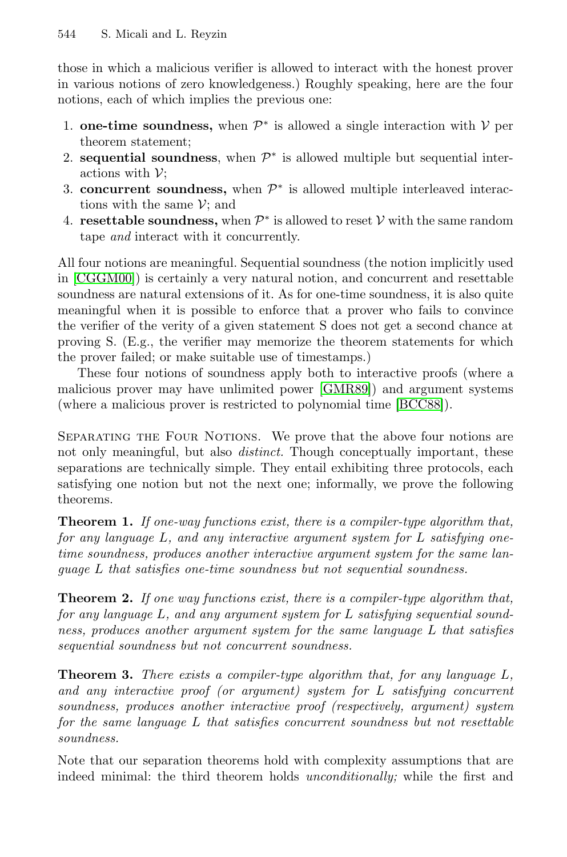<span id="page-2-0"></span>those in which a malicious verifier is allowed to interact with the honest prover in various notions of zero knowledgeness.) Roughly speaking, here are the four notions, each of which implies the previous one:

- 1. **one-time soundness,** when  $\mathcal{P}^*$  is allowed a single interaction with  $\mathcal{V}$  per theorem statement;
- 2. **sequential soundness**, when  $\mathcal{P}^*$  is allowed multiple but sequential interactions with  $\mathcal{V}$ ;
- 3. **concurrent soundness,** when  $\mathcal{P}^*$  is allowed multiple interleaved interactions with the same  $\mathcal{V}$ ; and
- 4. **resettable soundness,** when  $\mathcal{P}^*$  is allowed to reset  $\mathcal{V}$  with the same random tape and interact with it concurrently.

All four notions are meaningful. Sequential soundness (the notion implicitly used in [\[CGGM00\]](#page-18-0)) is certainly a very natural notion, and concurrent and resettable soundness are natural extensions of it. As for one-time soundness, it is also quite meaningful when it is possible to enforce that a prover who fails to convince the verifier of the verity of a given statement S does not get a second chance at proving S. (E.g., the verifier may memorize the theorem statements for which the prover failed; or make suitable use of timestamps.)

These four notions of soundness apply both to interactive proofs (where a malicious prover may have unlimited power [\[GMR89\]](#page-19-0)) and argument systems (where a malicious prover is restricted to polynomial time [\[BCC88\]](#page-18-0)).

Separating the Four Notions. We prove that the above four notions are not only meaningful, but also *distinct*. Though conceptually important, these separations are technically simple. They entail exhibiting three protocols, each satisfying one notion but not the next one; informally, we prove the following theorems.

**Theorem 1.** If one-way functions exist, there is a compiler-type algorithm that, for any language L, and any interactive argument system for L satisfying onetime soundness, produces another interactive argument system for the same language L that satisfies one-time soundness but not sequential soundness.

**Theorem 2.** If one way functions exist, there is a compiler-type algorithm that, for any language L, and any argument system for L satisfying sequential soundness, produces another argument system for the same language L that satisfies sequential soundness but not concurrent soundness.

**Theorem 3.** There exists a compiler-type algorithm that, for any language L, and any interactive proof (or argument) system for L satisfying concurrent soundness, produces another interactive proof (respectively, argument) system for the same language L that satisfies concurrent soundness but not resettable soundness.

Note that our separation theorems hold with complexity assumptions that are indeed minimal: the third theorem holds *unconditionally*; while the first and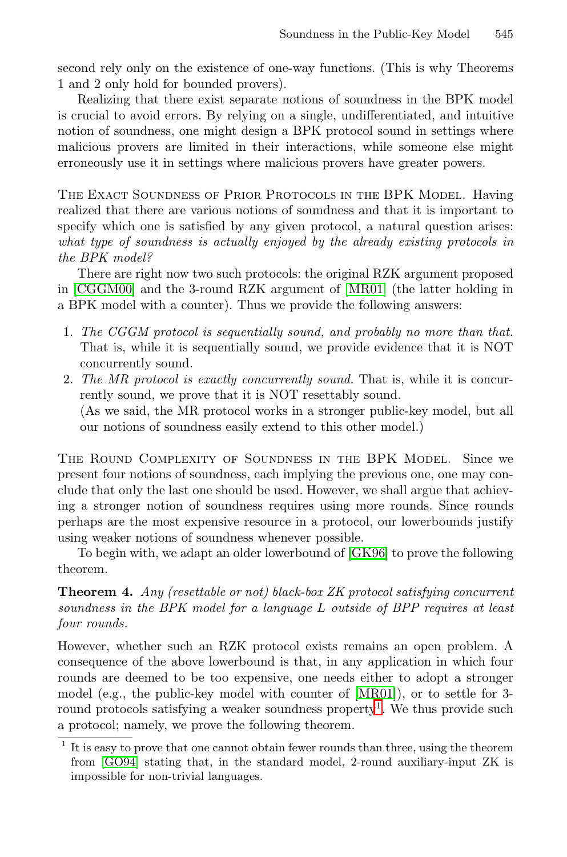<span id="page-3-0"></span>second rely only on the existence of one-way functions. (This is why Theorems 1 and 2 only hold for bounded provers).

Realizing that there exist separate notions of soundness in the BPK model is crucial to avoid errors. By relying on a single, undifferentiated, and intuitive notion of soundness, one might design a BPK protocol sound in settings where malicious provers are limited in their interactions, while someone else might erroneously use it in settings where malicious provers have greater powers.

THE EXACT SOUNDNESS OF PRIOR PROTOCOLS IN THE BPK MODEL. Having realized that there are various notions of soundness and that it is important to specify which one is satisfied by any given protocol, a natural question arises: what type of soundness is actually enjoyed by the already existing protocols in the BPK model?

There are right now two such protocols: the original RZK argument proposed in [\[CGGM00\]](#page-18-0) and the 3-round RZK argument of [\[MR01\]](#page-19-0) (the latter holding in a BPK model with a counter). Thus we provide the following answers:

- 1. The CGGM protocol is sequentially sound, and probably no more than that. That is, while it is sequentially sound, we provide evidence that it is NOT concurrently sound.
- 2. The MR protocol is exactly concurrently sound. That is, while it is concurrently sound, we prove that it is NOT resettably sound. (As we said, the MR protocol works in a stronger public-key model, but all our notions of soundness easily extend to this other model.)

The Round Complexity of Soundness in the BPK Model. Since we present four notions of soundness, each implying the previous one, one may conclude that only the last one should be used. However, we shall argue that achieving a stronger notion of soundness requires using more rounds. Since rounds perhaps are the most expensive resource in a protocol, our lowerbounds justify using weaker notions of soundness whenever possible.

To begin with, we adapt an older lowerbound of [\[GK96\]](#page-19-0) to prove the following theorem.

**Theorem 4.** Any (resettable or not) black-box ZK protocol satisfying concurrent soundness in the BPK model for a language L outside of BPP requires at least four rounds.

However, whether such an RZK protocol exists remains an open problem. A consequence of the above lowerbound is that, in any application in which four rounds are deemed to be too expensive, one needs either to adopt a stronger model (e.g., the public-key model with counter of [\[MR01\]](#page-19-0)), or to settle for 3 round protocols satisfying a weaker soundness property<sup>1</sup>. We thus provide such a protocol; namely, we prove the following theorem.

 $1$  It is easy to prove that one cannot obtain fewer rounds than three, using the theorem from [\[GO94\]](#page-19-0) stating that, in the standard model, 2-round auxiliary-input ZK is impossible for non-trivial languages.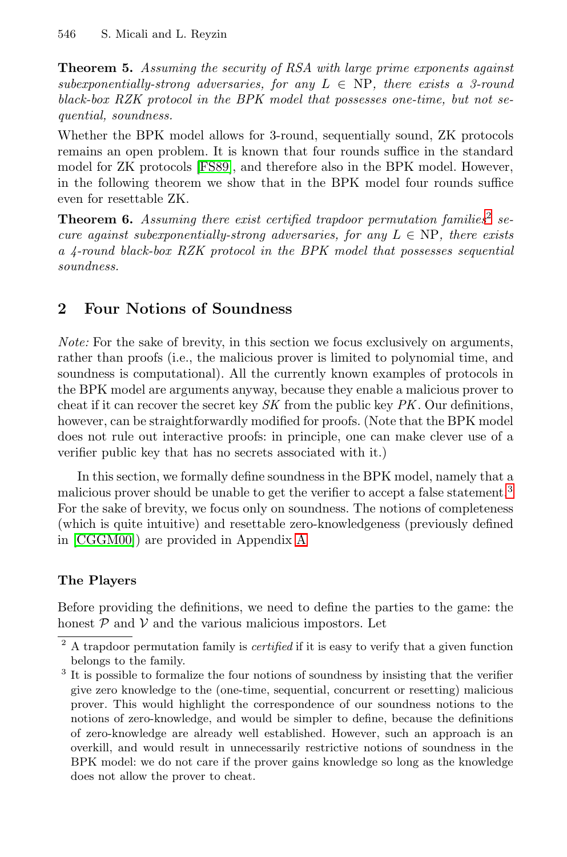<span id="page-4-0"></span>**Theorem 5.** Assuming the security of RSA with large prime exponents against subexponentially-strong adversaries, for any  $L \in NP$ , there exists a 3-round black-box RZK protocol in the BPK model that possesses one-time, but not sequential, soundness.

Whether the BPK model allows for 3-round, sequentially sound, ZK protocols remains an open problem. It is known that four rounds suffice in the standard model for ZK protocols [\[FS89\]](#page-18-0), and therefore also in the BPK model. However, in the following theorem we show that in the BPK model four rounds suffice even for resettable ZK.

**Theorem 6.** Assuming there exist certified trapdoor permutation families<sup>2</sup> secure against subexponentially-strong adversaries, for any  $L \in NP$ , there exists a 4-round black-box RZK protocol in the BPK model that possesses sequential soundness.

# **2 Four Notions of Soundness**

Note: For the sake of brevity, in this section we focus exclusively on arguments, rather than proofs (i.e., the malicious prover is limited to polynomial time, and soundness is computational). All the currently known examples of protocols in the BPK model are arguments anyway, because they enable a malicious prover to cheat if it can recover the secret key  $SK$  from the public key  $PK$ . Our definitions, however, can be straightforwardly modified for proofs. (Note that the BPK model does not rule out interactive proofs: in principle, one can make clever use of a verifier public key that has no secrets associated with it.)

In this section, we formally define soundness in the BPK model, namely that a malicious prover should be unable to get the verifier to accept a false statement.<sup>3</sup> For the sake of brevity, we focus only on soundness. The notions of completeness (which is quite intuitive) and resettable zero-knowledgeness (previously defined in [\[CGGM00\]](#page-18-0)) are provided in Appendix [A](#page-19-0)

## **The Players**

Before providing the definitions, we need to define the parties to the game: the honest  $P$  and  $V$  and the various malicious impostors. Let

<sup>2</sup> A trapdoor permutation family is certified if it is easy to verify that a given function belongs to the family.

<sup>&</sup>lt;sup>3</sup> It is possible to formalize the four notions of soundness by insisting that the verifier give zero knowledge to the (one-time, sequential, concurrent or resetting) malicious prover. This would highlight the correspondence of our soundness notions to the notions of zero-knowledge, and would be simpler to define, because the definitions of zero-knowledge are already well established. However, such an approach is an overkill, and would result in unnecessarily restrictive notions of soundness in the BPK model: we do not care if the prover gains knowledge so long as the knowledge does not allow the prover to cheat.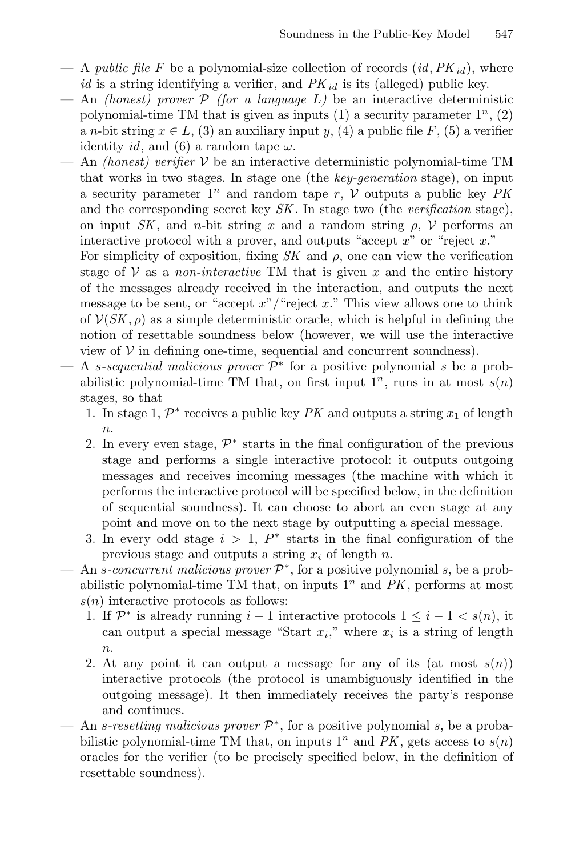- A public file F be a polynomial-size collection of records  $(id, PK_{id})$ , where id is a string identifying a verifier, and  $PK_{id}$  is its (alleged) public key.
- An *(honest)* prover  $P$  *(for a language L)* be an interactive deterministic polynomial-time TM that is given as inputs (1) a security parameter  $1^n$ , (2) a n-bit string  $x \in L$ , (3) an auxiliary input y, (4) a public file F, (5) a verifier identity id, and (6) a random tape  $\omega$ .
- An *(honest)* verifier  $V$  be an interactive deterministic polynomial-time TM that works in two stages. In stage one (the key-generation stage), on input a security parameter  $1^n$  and random tape r, V outputs a public key PK and the corresponding secret key  $SK$ . In stage two (the *verification* stage), on input SK, and n-bit string x and a random string  $\rho$ , V performs an interactive protocol with a prover, and outputs "accept  $x$ " or "reject  $x$ ."

For simplicity of exposition, fixing  $SK$  and  $\rho$ , one can view the verification stage of  $V$  as a *non-interactive* TM that is given x and the entire history of the messages already received in the interaction, and outputs the next message to be sent, or "accept  $x$ "/"reject  $x$ ." This view allows one to think of  $V(SK, \rho)$  as a simple deterministic oracle, which is helpful in defining the notion of resettable soundness below (however, we will use the interactive view of  $V$  in defining one-time, sequential and concurrent soundness).

- A s-sequential malicious prover  $\mathcal{P}^*$  for a positive polynomial s be a probabilistic polynomial-time TM that, on first input  $1^n$ , runs in at most  $s(n)$ stages, so that
	- 1. In stage 1,  $\mathcal{P}^*$  receives a public key PK and outputs a string  $x_1$  of length  $\overline{n}$ .
	- 2. In every even stage,  $\mathcal{P}^*$  starts in the final configuration of the previous stage and performs a single interactive protocol: it outputs outgoing messages and receives incoming messages (the machine with which it performs the interactive protocol will be specified below, in the definition of sequential soundness). It can choose to abort an even stage at any point and move on to the next stage by outputting a special message.
	- 3. In every odd stage  $i > 1$ ,  $P^*$  starts in the final configuration of the previous stage and outputs a string  $x_i$  of length n.
- An *s*-concurrent malicious prover  $\mathcal{P}^*$ , for a positive polynomial s, be a probabilistic polynomial-time TM that, on inputs  $1^n$  and  $PK$ , performs at most  $s(n)$  interactive protocols as follows:
	- 1. If  $\mathcal{P}^*$  is already running  $i-1$  interactive protocols  $1 \leq i-1 < s(n)$ , it can output a special message "Start  $x_i$ ," where  $x_i$  is a string of length  $\overline{n}$ .
	- 2. At any point it can output a message for any of its (at most  $s(n)$ ) interactive protocols (the protocol is unambiguously identified in the outgoing message). It then immediately receives the party's response and continues.
- An s-resetting malicious prover  $\mathcal{P}^*$ , for a positive polynomial s, be a probabilistic polynomial-time TM that, on inputs  $1^n$  and PK, gets access to  $s(n)$ oracles for the verifier (to be precisely specified below, in the definition of resettable soundness).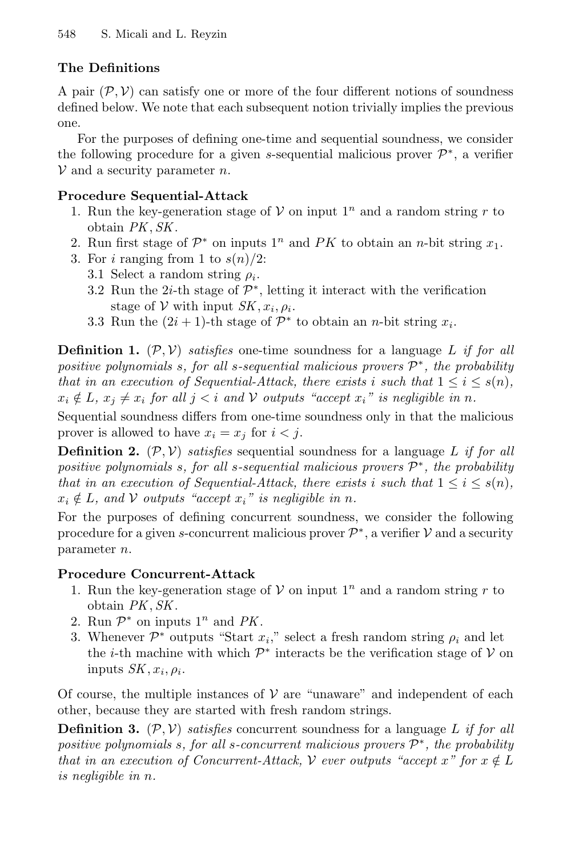## **The Definitions**

A pair  $(\mathcal{P}, \mathcal{V})$  can satisfy one or more of the four different notions of soundness defined below. We note that each subsequent notion trivially implies the previous one.

For the purposes of defining one-time and sequential soundness, we consider the following procedure for a given s-sequential malicious prover  $\mathcal{P}^*$ , a verifier  $V$  and a security parameter n.

## **Procedure Sequential-Attack**

- 1. Run the key-generation stage of V on input  $1^n$  and a random string r to obtain PK, SK.
- 2. Run first stage of  $\mathcal{P}^*$  on inputs 1<sup>n</sup> and PK to obtain an n-bit string  $x_1$ .
- 3. For i ranging from 1 to  $s(n)/2$ :
	- 3.1 Select a random string  $\rho_i$ .
	- 3.2 Run the 2*i*-th stage of  $\mathcal{P}^*$ , letting it interact with the verification stage of V with input  $SK, x_i, \rho_i$ .
	- 3.3 Run the  $(2i + 1)$ -th stage of  $\mathcal{P}^*$  to obtain an *n*-bit string  $x_i$ .

**Definition 1.**  $(\mathcal{P}, \mathcal{V})$  satisfies one-time soundness for a language L if for all positive polynomials s, for all s-sequential malicious provers  $\mathcal{P}^*$ , the probability that in an execution of Sequential-Attack, there exists i such that  $1 \leq i \leq s(n)$ ,  $x_i \notin L$ ,  $x_j \neq x_i$  for all  $j < i$  and V outputs "accept  $x_i$ " is negligible in n.

Sequential soundness differs from one-time soundness only in that the malicious prover is allowed to have  $x_i = x_j$  for  $i < j$ .

**Definition 2.**  $(\mathcal{P}, \mathcal{V})$  satisfies sequential soundness for a language L if for all positive polynomials s, for all s-sequential malicious provers  $\mathcal{P}^*$ , the probability that in an execution of Sequential-Attack, there exists i such that  $1 \leq i \leq s(n)$ ,  $x_i \notin L$ , and V outputs "accept  $x_i$ " is negligible in n.

For the purposes of defining concurrent soundness, we consider the following procedure for a given s-concurrent malicious prover  $\mathcal{P}^*$ , a verifier V and a security parameter n.

## **Procedure Concurrent-Attack**

- 1. Run the key-generation stage of  $V$  on input  $1^n$  and a random string r to obtain PK, SK.
- 2. Run  $\mathcal{P}^*$  on inputs  $1^n$  and  $PK$ .
- 3. Whenever  $\mathcal{P}^*$  outputs "Start  $x_i$ ," select a fresh random string  $\rho_i$  and let the *i*-th machine with which  $\mathcal{P}^*$  interacts be the verification stage of  $\mathcal V$  on inputs  $SK, x_i, \rho_i$ .

Of course, the multiple instances of  $V$  are "unaware" and independent of each other, because they are started with fresh random strings.

**Definition 3.**  $(\mathcal{P}, \mathcal{V})$  satisfies concurrent soundness for a language L if for all positive polynomials s, for all s-concurrent malicious provers  $\mathcal{P}^*$ , the probability that in an execution of Concurrent-Attack, V ever outputs "accept x" for  $x \notin L$ is negligible in n.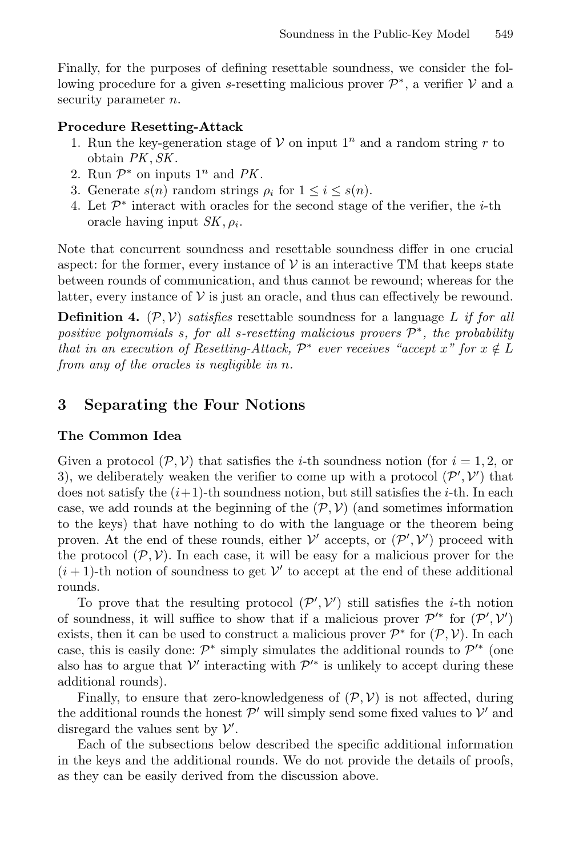Finally, for the purposes of defining resettable soundness, we consider the following procedure for a given s-resetting malicious prover  $\mathcal{P}^*$ , a verifier V and a security parameter n.

#### **Procedure Resetting-Attack**

- 1. Run the key-generation stage of  $V$  on input  $1^n$  and a random string r to obtain PK, SK.
- 2. Run  $\mathcal{P}^*$  on inputs  $1^n$  and  $PK$ .
- 3. Generate  $s(n)$  random strings  $\rho_i$  for  $1 \leq i \leq s(n)$ .
- 4. Let  $\mathcal{P}^*$  interact with oracles for the second stage of the verifier, the *i*-th oracle having input  $SK, \rho_i$ .

Note that concurrent soundness and resettable soundness differ in one crucial aspect: for the former, every instance of  $\mathcal V$  is an interactive TM that keeps state between rounds of communication, and thus cannot be rewound; whereas for the latter, every instance of  $V$  is just an oracle, and thus can effectively be rewound.

**Definition 4.**  $(\mathcal{P}, \mathcal{V})$  satisfies resettable soundness for a language L if for all positive polynomials s, for all s-resetting malicious provers  $\mathcal{P}^*$ , the probability that in an execution of Resetting-Attack,  $\mathcal{P}^*$  ever receives "accept x" for  $x \notin L$ from any of the oracles is negligible in n.

## **3 Separating the Four Notions**

### **The Common Idea**

Given a protocol  $(\mathcal{P}, \mathcal{V})$  that satisfies the *i*-th soundness notion (for  $i = 1, 2$ , or 3), we deliberately weaken the verifier to come up with a protocol  $(\mathcal{P}', \mathcal{V}')$  that does not satisfy the  $(i+1)$ -th soundness notion, but still satisfies the *i*-th. In each case, we add rounds at the beginning of the  $(\mathcal{P}, V)$  (and sometimes information to the keys) that have nothing to do with the language or the theorem being proven. At the end of these rounds, either  $\mathcal V'$  accepts, or  $(\mathcal P', \mathcal V')$  proceed with the protocol  $(\mathcal{P}, \mathcal{V})$ . In each case, it will be easy for a malicious prover for the  $(i+1)$ -th notion of soundness to get V' to accept at the end of these additional rounds.

To prove that the resulting protocol  $(\mathcal{P}', \mathcal{V}')$  still satisfies the *i*-th notion of soundness, it will suffice to show that if a malicious prover  $\mathcal{P}'^*$  for  $(\mathcal{P}', \mathcal{V}')$ exists, then it can be used to construct a malicious prover  $\mathcal{P}^*$  for  $(\mathcal{P}, \mathcal{V})$ . In each case, this is easily done:  $\mathcal{P}^*$  simply simulates the additional rounds to  $\mathcal{P}'^*$  (one also has to argue that  $\mathcal{V}'$  interacting with  $\mathcal{P}^{\prime*}$  is unlikely to accept during these additional rounds).

Finally, to ensure that zero-knowledgeness of  $(\mathcal{P}, \mathcal{V})$  is not affected, during the additional rounds the honest  $\mathcal{P}'$  will simply send some fixed values to  $\mathcal{V}'$  and disregard the values sent by  $\mathcal{V}'$ .

Each of the subsections below described the specific additional information in the keys and the additional rounds. We do not provide the details of proofs, as they can be easily derived from the discussion above.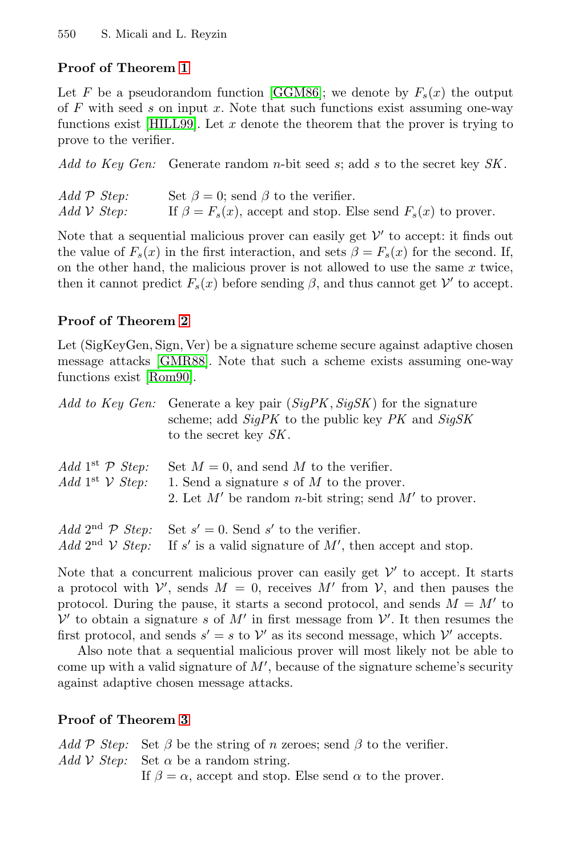### **Proof of Theorem [1](#page-2-0)**

Let F be a pseudorandom function [\[GGM86\]](#page-18-0); we denote by  $F_s(x)$  the output of  $F$  with seed  $s$  on input  $x$ . Note that such functions exist assuming one-way functions exist [\[HILL99\]](#page-19-0). Let  $x$  denote the theorem that the prover is trying to prove to the verifier.

Add to Key Gen: Generate random n-bit seed s; add s to the secret key  $SK$ .

| $Add \, \mathcal{P}$ Step: | Set $\beta = 0$ ; send $\beta$ to the verifier.                      |
|----------------------------|----------------------------------------------------------------------|
| $Add V$ Step:              | If $\beta = F_s(x)$ , accept and stop. Else send $F_s(x)$ to prover. |

Note that a sequential malicious prover can easily get  $\mathcal V'$  to accept: it finds out the value of  $F_s(x)$  in the first interaction, and sets  $\beta = F_s(x)$  for the second. If, on the other hand, the malicious prover is not allowed to use the same  $x$  twice, then it cannot predict  $F_s(x)$  before sending  $\beta$ , and thus cannot get  $\mathcal V'$  to accept.

### **Proof of Theorem [2](#page-2-0)**

Let (SigKeyGen, Sign, Ver) be a signature scheme secure against adaptive chosen message attacks [\[GMR88\]](#page-19-0). Note that such a scheme exists assuming one-way functions exist [\[Rom90\]](#page-19-0).

|                                                                        | Add to Key Gen: Generate a key pair (SigPK, SigSK) for the signature<br>scheme; add $SigPK$ to the public key PK and $SigSK$<br>to the secret key $SK.$        |
|------------------------------------------------------------------------|----------------------------------------------------------------------------------------------------------------------------------------------------------------|
| $Add\;1^{st}\;P\;Step:$<br>$Add\ 1^{st}\ \mathcal{V}\ Step:$           | Set $M = 0$ , and send M to the verifier.<br>1. Send a signature $s$ of $M$ to the prover.<br>2. Let $M'$ be random <i>n</i> -bit string; send $M'$ to prover. |
| Add 2 <sup>nd</sup> P Step:<br>Add $2^{\text{nd}}$ $\mathcal{V}$ Step: | Set $s' = 0$ . Send s' to the verifier.<br>If s' is a valid signature of $M'$ , then accept and stop.                                                          |

Note that a concurrent malicious prover can easily get  $\mathcal V'$  to accept. It starts a protocol with  $V'$ , sends  $M = 0$ , receives M' from  $V$ , and then pauses the protocol. During the pause, it starts a second protocol, and sends  $M = M'$  to  $\mathcal V'$  to obtain a signature s of M' in first message from  $\mathcal V'$ . It then resumes the first protocol, and sends  $s' = s$  to  $\mathcal{V}'$  as its second message, which  $\mathcal{V}'$  accepts.

Also note that a sequential malicious prover will most likely not be able to come up with a valid signature of  $M'$ , because of the signature scheme's security against adaptive chosen message attacks.

## **Proof of Theorem [3](#page-2-0)**

Add P Step: Set  $\beta$  be the string of n zeroes; send  $\beta$  to the verifier. Add  $V$  Step: Set  $\alpha$  be a random string. If  $\beta = \alpha$ , accept and stop. Else send  $\alpha$  to the prover.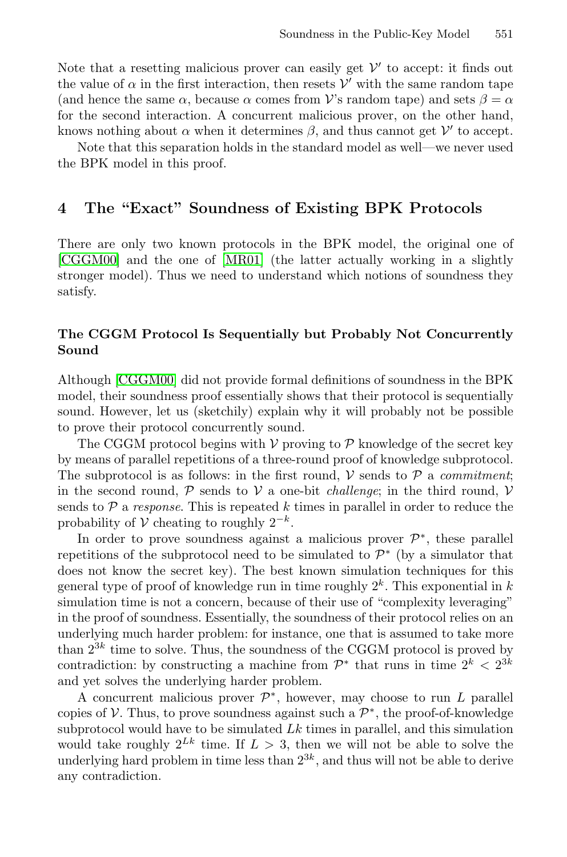Note that a resetting malicious prover can easily get  $\mathcal V'$  to accept: it finds out the value of  $\alpha$  in the first interaction, then resets V' with the same random tape (and hence the same  $\alpha$ , because  $\alpha$  comes from V's random tape) and sets  $\beta = \alpha$ for the second interaction. A concurrent malicious prover, on the other hand, knows nothing about  $\alpha$  when it determines  $\beta$ , and thus cannot get  $\mathcal{V}'$  to accept.

Note that this separation holds in the standard model as well—we never used the BPK model in this proof.

## **4 The "Exact" Soundness of Existing BPK Protocols**

There are only two known protocols in the BPK model, the original one of [\[CGGM00\]](#page-18-0) and the one of [\[MR01\]](#page-19-0) (the latter actually working in a slightly stronger model). Thus we need to understand which notions of soundness they satisfy.

### **The CGGM Protocol Is Sequentially but Probably Not Concurrently Sound**

Although [\[CGGM00\]](#page-18-0) did not provide formal definitions of soundness in the BPK model, their soundness proof essentially shows that their protocol is sequentially sound. However, let us (sketchily) explain why it will probably not be possible to prove their protocol concurrently sound.

The CGGM protocol begins with  $V$  proving to  $P$  knowledge of the secret key by means of parallel repetitions of a three-round proof of knowledge subprotocol. The subprotocol is as follows: in the first round,  $\mathcal V$  sends to  $\mathcal P$  a *commitment*; in the second round,  $\mathcal P$  sends to  $\mathcal V$  a one-bit *challenge*; in the third round,  $\mathcal V$ sends to  $P$  a response. This is repeated k times in parallel in order to reduce the probability of  $V$  cheating to roughly  $2^{-k}$ .

In order to prove soundness against a malicious prover  $\mathcal{P}^*$ , these parallel repetitions of the subprotocol need to be simulated to  $\mathcal{P}^*$  (by a simulator that does not know the secret key). The best known simulation techniques for this general type of proof of knowledge run in time roughly  $2<sup>k</sup>$ . This exponential in k simulation time is not a concern, because of their use of "complexity leveraging" in the proof of soundness. Essentially, the soundness of their protocol relies on an underlying much harder problem: for instance, one that is assumed to take more than  $2^{3k}$  time to solve. Thus, the soundness of the CGGM protocol is proved by contradiction: by constructing a machine from  $\mathcal{P}^*$  that runs in time  $2^k < 2^{3k}$ and yet solves the underlying harder problem.

A concurrent malicious prover  $\mathcal{P}^*$ , however, may choose to run L parallel copies of V. Thus, to prove soundness against such a  $\mathcal{P}^*$ , the proof-of-knowledge subprotocol would have to be simulated  $Lk$  times in parallel, and this simulation would take roughly  $2^{Lk}$  time. If  $L > 3$ , then we will not be able to solve the underlying hard problem in time less than  $2^{3k}$ , and thus will not be able to derive any contradiction.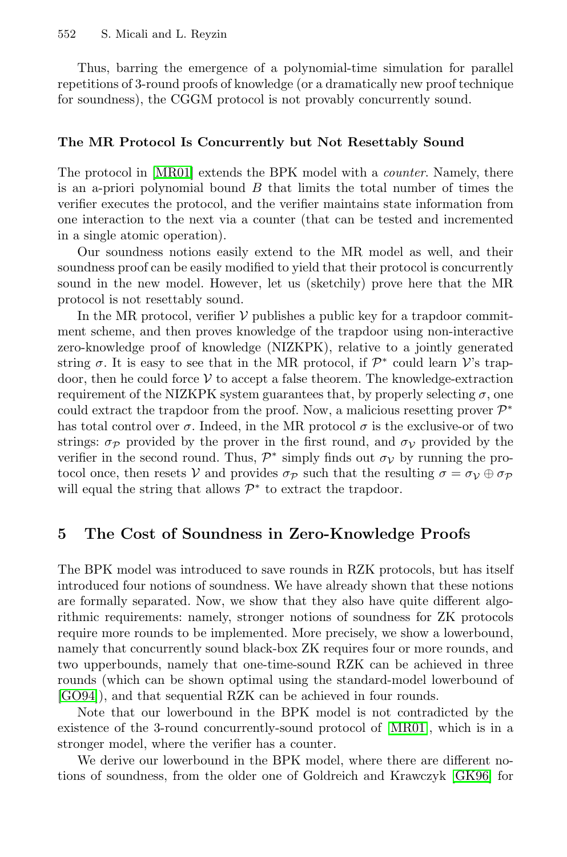Thus, barring the emergence of a polynomial-time simulation for parallel repetitions of 3-round proofs of knowledge (or a dramatically new proof technique for soundness), the CGGM protocol is not provably concurrently sound.

#### **The MR Protocol Is Concurrently but Not Resettably Sound**

The protocol in [\[MR01\]](#page-19-0) extends the BPK model with a counter. Namely, there is an a-priori polynomial bound  $B$  that limits the total number of times the verifier executes the protocol, and the verifier maintains state information from one interaction to the next via a counter (that can be tested and incremented in a single atomic operation).

Our soundness notions easily extend to the MR model as well, and their soundness proof can be easily modified to yield that their protocol is concurrently sound in the new model. However, let us (sketchily) prove here that the MR protocol is not resettably sound.

In the MR protocol, verifier  $V$  publishes a public key for a trapdoor commitment scheme, and then proves knowledge of the trapdoor using non-interactive zero-knowledge proof of knowledge (NIZKPK), relative to a jointly generated string  $\sigma$ . It is easy to see that in the MR protocol, if  $\mathcal{P}^*$  could learn  $\mathcal{V}$ 's trapdoor, then he could force  $V$  to accept a false theorem. The knowledge-extraction requirement of the NIZKPK system guarantees that, by properly selecting  $\sigma$ , one could extract the trapdoor from the proof. Now, a malicious resetting prover  $\mathcal{P}^*$ has total control over  $\sigma$ . Indeed, in the MR protocol  $\sigma$  is the exclusive-or of two strings:  $\sigma_{\mathcal{P}}$  provided by the prover in the first round, and  $\sigma_{\mathcal{V}}$  provided by the verifier in the second round. Thus,  $\mathcal{P}^*$  simply finds out  $\sigma_{\mathcal{V}}$  by running the protocol once, then resets V and provides  $\sigma_{\mathcal{P}}$  such that the resulting  $\sigma = \sigma_{\mathcal{V}} \oplus \sigma_{\mathcal{P}}$ will equal the string that allows  $\mathcal{P}^*$  to extract the trapdoor.

## **5 The Cost of Soundness in Zero-Knowledge Proofs**

The BPK model was introduced to save rounds in RZK protocols, but has itself introduced four notions of soundness. We have already shown that these notions are formally separated. Now, we show that they also have quite different algorithmic requirements: namely, stronger notions of soundness for ZK protocols require more rounds to be implemented. More precisely, we show a lowerbound, namely that concurrently sound black-box ZK requires four or more rounds, and two upperbounds, namely that one-time-sound RZK can be achieved in three rounds (which can be shown optimal using the standard-model lowerbound of [\[GO94\]](#page-19-0)), and that sequential RZK can be achieved in four rounds.

Note that our lowerbound in the BPK model is not contradicted by the existence of the 3-round concurrently-sound protocol of [\[MR01\]](#page-19-0), which is in a stronger model, where the verifier has a counter.

We derive our lowerbound in the BPK model, where there are different notions of soundness, from the older one of Goldreich and Krawczyk [\[GK96\]](#page-19-0) for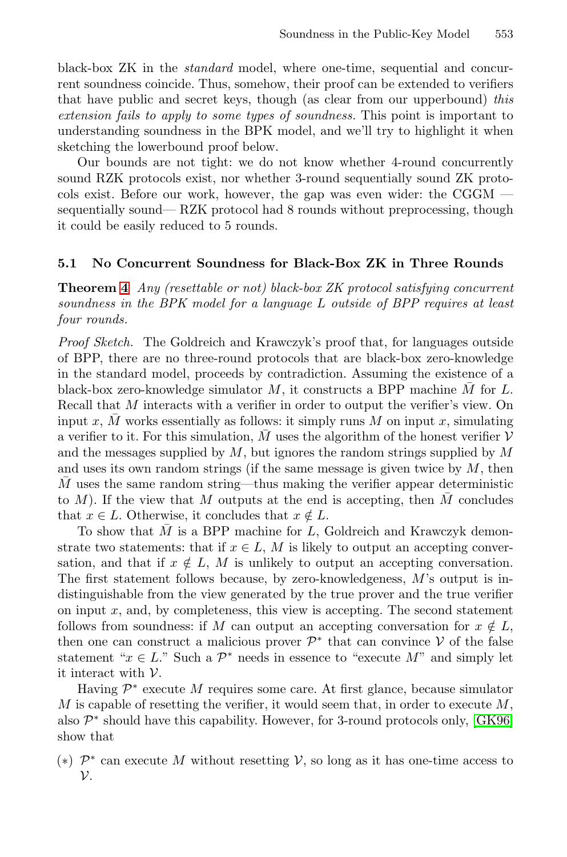black-box ZK in the standard model, where one-time, sequential and concurrent soundness coincide. Thus, somehow, their proof can be extended to verifiers that have public and secret keys, though (as clear from our upperbound) this extension fails to apply to some types of soundness. This point is important to understanding soundness in the BPK model, and we'll try to highlight it when sketching the lowerbound proof below.

Our bounds are not tight: we do not know whether 4-round concurrently sound RZK protocols exist, nor whether 3-round sequentially sound ZK protocols exist. Before our work, however, the gap was even wider: the CGGM sequentially sound— RZK protocol had 8 rounds without preprocessing, though it could be easily reduced to 5 rounds.

#### **5.1 No Concurrent Soundness for Black-Box ZK in Three Rounds**

**Theorem [4](#page-3-0)** Any (resettable or not) black-box ZK protocol satisfying concurrent soundness in the BPK model for a language L outside of BPP requires at least four rounds.

Proof Sketch. The Goldreich and Krawczyk's proof that, for languages outside of BPP, there are no three-round protocols that are black-box zero-knowledge in the standard model, proceeds by contradiction. Assuming the existence of a black-box zero-knowledge simulator  $M$ , it constructs a BPP machine  $M$  for  $L$ . Recall that M interacts with a verifier in order to output the verifier's view. On input x, M works essentially as follows: it simply runs M on input x, simulating a verifier to it. For this simulation, M uses the algorithm of the honest verifier  $V$ and the messages supplied by  $M$ , but ignores the random strings supplied by  $M$ and uses its own random strings (if the same message is given twice by  $M$ , then  $\overline{M}$  uses the same random string—thus making the verifier appear deterministic to  $M$ ). If the view that M outputs at the end is accepting, then M concludes that  $x \in L$ . Otherwise, it concludes that  $x \notin L$ .

To show that  $\overline{M}$  is a BPP machine for L, Goldreich and Krawczyk demonstrate two statements: that if  $x \in L$ , M is likely to output an accepting conversation, and that if  $x \notin L$ , M is unlikely to output an accepting conversation. The first statement follows because, by zero-knowledgeness, M's output is indistinguishable from the view generated by the true prover and the true verifier on input  $x$ , and, by completeness, this view is accepting. The second statement follows from soundness: if M can output an accepting conversation for  $x \notin L$ , then one can construct a malicious prover  $\mathcal{P}^*$  that can convince V of the false statement " $x \in L$ ." Such a  $\mathcal{P}^*$  needs in essence to "execute M" and simply let it interact with V.

Having  $\mathcal{P}^*$  execute M requires some care. At first glance, because simulator M is capable of resetting the verifier, it would seem that, in order to execute  $M$ . also  $\mathcal{P}^*$  should have this capability. However, for 3-round protocols only, [\[GK96\]](#page-19-0) show that

(∗) P<sup>∗</sup> can execute M without resetting V, so long as it has one-time access to  $\mathcal{V}$ .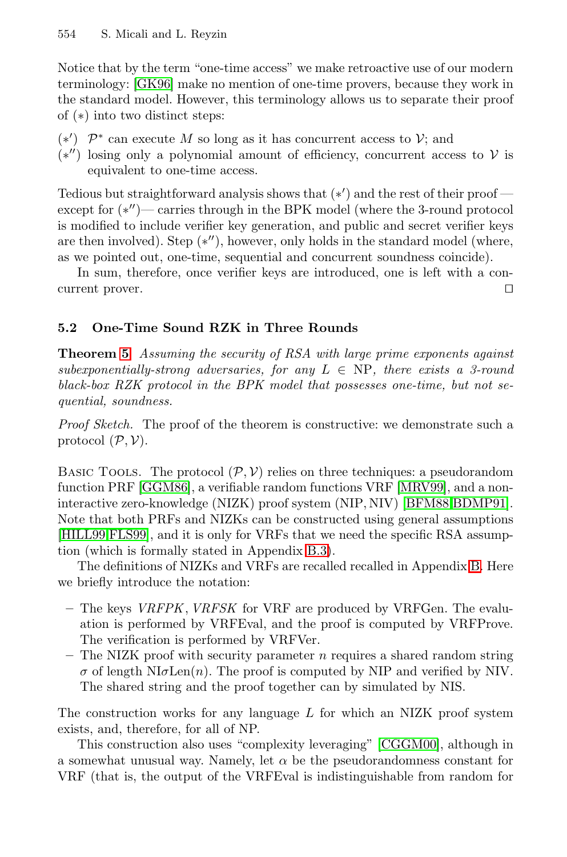Notice that by the term "one-time access" we make retroactive use of our modern terminology: [\[GK96\]](#page-19-0) make no mention of one-time provers, because they work in the standard model. However, this terminology allows us to separate their proof of (∗) into two distinct steps:

- $(*')$  P<sup>∗</sup> can execute M so long as it has concurrent access to V; and
- (\*'') losing only a polynomial amount of efficiency, concurrent access to  $V$  is equivalent to one-time access.

Tedious but straightforward analysis shows that  $(*')$  and the rest of their proof except for  $(*<sup>′′</sup>)$ — carries through in the BPK model (where the 3-round protocol is modified to include verifier key generation, and public and secret verifier keys are then involved). Step  $(*'')$ , however, only holds in the standard model (where, as we pointed out, one-time, sequential and concurrent soundness coincide).

In sum, therefore, once verifier keys are introduced, one is left with a concurrent prover.  $\Box$ 

## **5.2 One-Time Sound RZK in Three Rounds**

**Theorem [5](#page-3-0)** Assuming the security of RSA with large prime exponents against subexponentially-strong adversaries, for any  $L \in NP$ , there exists a 3-round black-box RZK protocol in the BPK model that possesses one-time, but not sequential, soundness.

Proof Sketch. The proof of the theorem is constructive: we demonstrate such a protocol  $(\mathcal{P}, \mathcal{V})$ .

BASIC TOOLS. The protocol  $(\mathcal{P}, \mathcal{V})$  relies on three techniques: a pseudorandom function PRF [\[GGM86\]](#page-18-0), a verifiable random functions VRF [\[MRV99\]](#page-19-0), and a noninteractive zero-knowledge (NIZK) proof system (NIP, NIV) [\[BFM88,BDMP91\]](#page-18-0). Note that both PRFs and NIZKs can be constructed using general assumptions [\[HILL99,](#page-19-0)[FLS99\]](#page-18-0), and it is only for VRFs that we need the specific RSA assumption (which is formally stated in Appendix [B.3\)](#page-22-0).

The definitions of NIZKs and VRFs are recalled recalled in Appendix [B.](#page-21-0) Here we briefly introduce the notation:

- **–** The keys VRFPK, VRFSK for VRF are produced by VRFGen. The evaluation is performed by VRFEval, and the proof is computed by VRFProve. The verification is performed by VRFVer.
- **–** The NIZK proof with security parameter n requires a shared random string  $\sigma$  of length NI $\sigma$ Len $(n)$ . The proof is computed by NIP and verified by NIV. The shared string and the proof together can by simulated by NIS.

The construction works for any language  $L$  for which an NIZK proof system exists, and, therefore, for all of NP.

This construction also uses "complexity leveraging" [\[CGGM00\]](#page-18-0), although in a somewhat unusual way. Namely, let  $\alpha$  be the pseudorandomness constant for VRF (that is, the output of the VRFEval is indistinguishable from random for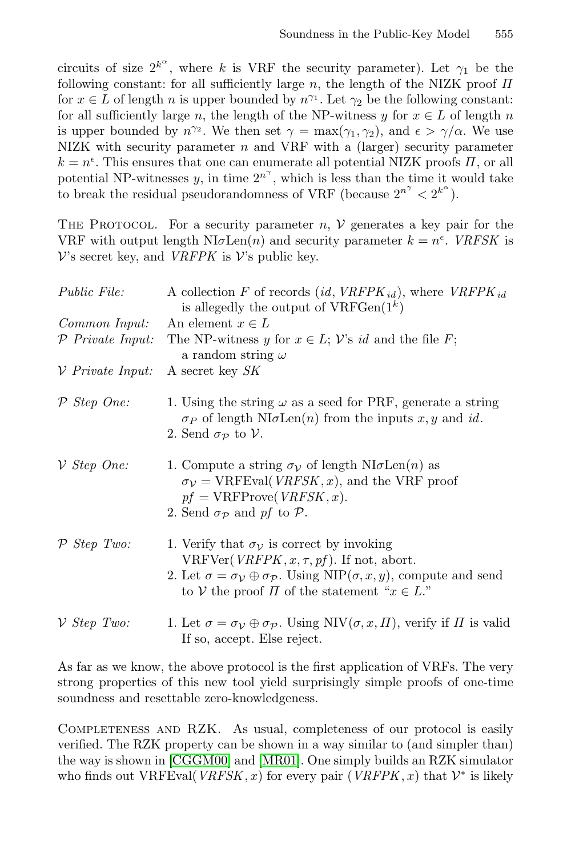circuits of size  $2^{k^{\alpha}}$ , where k is VRF the security parameter). Let  $\gamma_1$  be the following constant: for all sufficiently large  $n$ , the length of the NIZK proof  $\Pi$ for  $x \in L$  of length n is upper bounded by  $n^{\gamma_1}$ . Let  $\gamma_2$  be the following constant: for all sufficiently large n, the length of the NP-witness y for  $x \in L$  of length n is upper bounded by  $n^{\gamma_2}$ . We then set  $\gamma = \max(\gamma_1, \gamma_2)$ , and  $\epsilon > \gamma/\alpha$ . We use NIZK with security parameter  $n$  and VRF with a (larger) security parameter  $k = n^{\epsilon}$ . This ensures that one can enumerate all potential NIZK proofs  $\Pi$ , or all potential NP-witnesses y, in time  $2^{n^{\gamma}}$ , which is less than the time it would take to break the residual pseudorandomness of VRF (because  $2^{n^{\gamma}} < 2^{k^{\alpha}}$ ).

THE PROTOCOL. For a security parameter  $n, V$  generates a key pair for the VRF with output length  $NI\sigma Len(n)$  and security parameter  $k = n^{\epsilon}$ . VRFSK is  $V$ 's secret key, and *VRFPK* is  $V$ 's public key.

| <i>Public File:</i>         | A collection F of records $(id, VRFPK_{id})$ , where $VRFPK_{id}$<br>is allegedly the output of $VRFGen(1^k)$                                                                                                                                                                               |
|-----------------------------|---------------------------------------------------------------------------------------------------------------------------------------------------------------------------------------------------------------------------------------------------------------------------------------------|
| Common Input:               | An element $x \in L$                                                                                                                                                                                                                                                                        |
| $P$ Private Input:          | The NP-witness y for $x \in L$ ; V's id and the file F;<br>a random string $\omega$                                                                                                                                                                                                         |
| $\mathcal V$ Private Input: | A secret key SK                                                                                                                                                                                                                                                                             |
| $P$ Step One:               | 1. Using the string $\omega$ as a seed for PRF, generate a string<br>$\sigma_P$ of length NI $\sigma$ Len $(n)$ from the inputs x, y and id.<br>2. Send $\sigma_{\mathcal{P}}$ to $\mathcal{V}$ .                                                                                           |
| $V$ Step One:               | 1. Compute a string $\sigma_{\mathcal{V}}$ of length NI $\sigma$ Len( <i>n</i> ) as<br>$\sigma_{\mathcal{V}} = \text{VRFEval}(VRFSK, x)$ , and the VRF proof<br>$pf = \text{VRFProve}(VRFSK, x).$<br>2. Send $\sigma_{\mathcal{P}}$ and pf to $\mathcal{P}$ .                               |
| $P$ Step Two:               | 1. Verify that $\sigma_{\mathcal{V}}$ is correct by invoking<br>VRFVer(VRFPK, $x, \tau, pf$ ). If not, abort.<br>2. Let $\sigma = \sigma_{\mathcal{V}} \oplus \sigma_{\mathcal{P}}$ . Using NIP $(\sigma, x, y)$ , compute and send<br>to V the proof $\Pi$ of the statement " $x \in L$ ." |
| $V$ Step Two:               | 1. Let $\sigma = \sigma_{\mathcal{V}} \oplus \sigma_{\mathcal{P}}$ . Using NIV $(\sigma, x, \Pi)$ , verify if $\Pi$ is valid<br>If so, accept. Else reject.                                                                                                                                 |

As far as we know, the above protocol is the first application of VRFs. The very strong properties of this new tool yield surprisingly simple proofs of one-time soundness and resettable zero-knowledgeness.

Completeness and RZK. As usual, completeness of our protocol is easily verified. The RZK property can be shown in a way similar to (and simpler than) the way is shown in [\[CGGM00\]](#page-18-0) and [\[MR01\]](#page-19-0). One simply builds an RZK simulator who finds out VRFEval(*VRFSK, x*) for every pair (*VRFPK, x*) that  $V^*$  is likely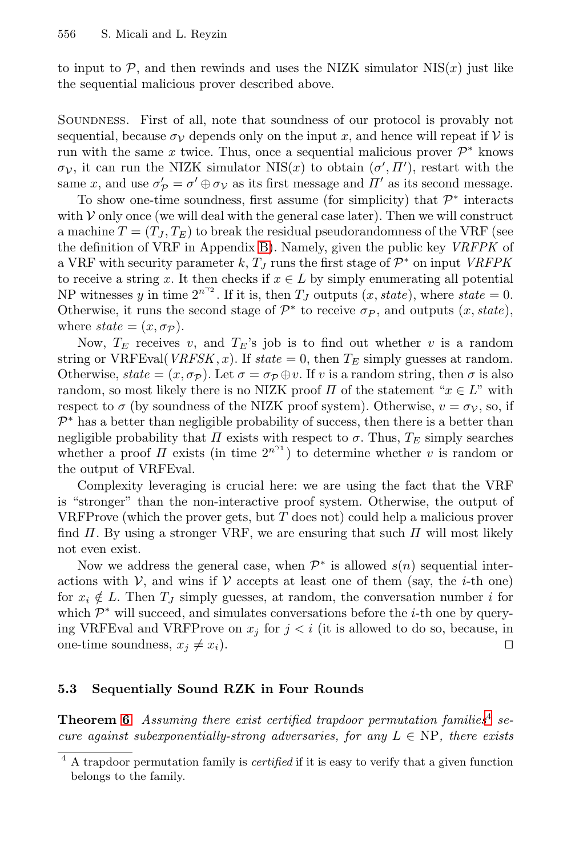to input to  $P$ , and then rewinds and uses the NIZK simulator NIS(x) just like the sequential malicious prover described above.

Soundness. First of all, note that soundness of our protocol is provably not sequential, because  $\sigma_{\mathcal{V}}$  depends only on the input x, and hence will repeat if V is run with the same x twice. Thus, once a sequential malicious prover  $\mathcal{P}^*$  knows  $\sigma_{\mathcal{V}}$ , it can run the NIZK simulator NIS(x) to obtain  $(\sigma', \Pi')$ , restart with the same x, and use  $\sigma'_{\mathcal{P}} = \sigma' \oplus \sigma_{\mathcal{V}}$  as its first message and  $\Pi'$  as its second message.

To show one-time soundness, first assume (for simplicity) that  $\mathcal{P}^*$  interacts with  $V$  only once (we will deal with the general case later). Then we will construct a machine  $T = (T_J, T_E)$  to break the residual pseudorandomness of the VRF (see the definition of VRF in Appendix [B\)](#page-21-0). Namely, given the public key VRFPK of a VRF with security parameter k,  $T_J$  runs the first stage of  $\mathcal{P}^*$  on input VRFPK to receive a string x. It then checks if  $x \in L$  by simply enumerating all potential NP witnesses y in time  $2^{n^{\gamma_2}}$ . If it is, then  $T_J$  outputs  $(x, state)$ , where state = 0. Otherwise, it runs the second stage of  $\mathcal{P}^*$  to receive  $\sigma_P$ , and outputs  $(x, state)$ , where  $state = (x, \sigma_{\mathcal{P}})$ .

Now,  $T_E$  receives v, and  $T_E$ 's job is to find out whether v is a random string or VRFEval(VRFSK, x). If state = 0, then  $T_E$  simply guesses at random. Otherwise,  $state = (x, \sigma_{\mathcal{P}})$ . Let  $\sigma = \sigma_{\mathcal{P}} \oplus v$ . If v is a random string, then  $\sigma$  is also random, so most likely there is no NIZK proof  $\Pi$  of the statement " $x \in L$ " with respect to  $\sigma$  (by soundness of the NIZK proof system). Otherwise,  $v = \sigma_{\mathcal{V}}$ , so, if  $\mathcal{P}^*$  has a better than negligible probability of success, then there is a better than negligible probability that  $\Pi$  exists with respect to  $\sigma$ . Thus,  $T_E$  simply searches whether a proof  $\Pi$  exists (in time  $2^{n^{\gamma_1}}$ ) to determine whether v is random or the output of VRFEval.

Complexity leveraging is crucial here: we are using the fact that the VRF is "stronger" than the non-interactive proof system. Otherwise, the output of VRFProve (which the prover gets, but  $T$  does not) could help a malicious prover find  $\Pi$ . By using a stronger VRF, we are ensuring that such  $\Pi$  will most likely not even exist.

Now we address the general case, when  $\mathcal{P}^*$  is allowed  $s(n)$  sequential interactions with  $V$ , and wins if  $V$  accepts at least one of them (say, the *i*-th one) for  $x_i \notin L$ . Then  $T_J$  simply guesses, at random, the conversation number i for which  $\mathcal{P}^*$  will succeed, and simulates conversations before the *i*-th one by querying VRFEval and VRFProve on  $x_j$  for  $j < i$  (it is allowed to do so, because, in one-time soundness,  $x_j \neq x_i$ ).

#### **5.3 Sequentially Sound RZK in Four Rounds**

**Theorem [6](#page-4-0)** Assuming there exist certified trapdoor permutation families<sup>4</sup> secure against subexponentially-strong adversaries, for any  $L \in NP$ , there exists

<sup>4</sup> A trapdoor permutation family is certified if it is easy to verify that a given function belongs to the family.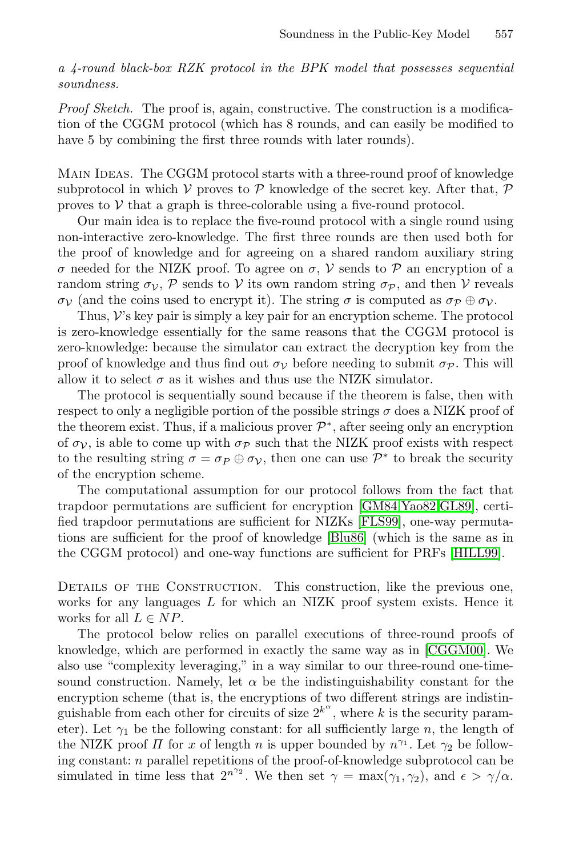### a 4-round black-box RZK protocol in the BPK model that possesses sequential soundness.

Proof Sketch. The proof is, again, constructive. The construction is a modification of the CGGM protocol (which has 8 rounds, and can easily be modified to have 5 by combining the first three rounds with later rounds).

MAIN IDEAS. The CGGM protocol starts with a three-round proof of knowledge subprotocol in which  $V$  proves to  $\mathcal P$  knowledge of the secret key. After that,  $\mathcal P$ proves to  $V$  that a graph is three-colorable using a five-round protocol.

Our main idea is to replace the five-round protocol with a single round using non-interactive zero-knowledge. The first three rounds are then used both for the proof of knowledge and for agreeing on a shared random auxiliary string σ needed for the NIZK proof. To agree on σ, V sends to P an encryption of a random string  $\sigma_{\mathcal{V}}$ ,  $\mathcal{P}$  sends to  $\mathcal{V}$  its own random string  $\sigma_{\mathcal{P}}$ , and then  $\mathcal{V}$  reveals  $\sigma_{\mathcal{V}}$  (and the coins used to encrypt it). The string  $\sigma$  is computed as  $\sigma_{\mathcal{P}} \oplus \sigma_{\mathcal{V}}$ .

Thus,  $\mathcal{V}$ 's key pair is simply a key pair for an encryption scheme. The protocol is zero-knowledge essentially for the same reasons that the CGGM protocol is zero-knowledge: because the simulator can extract the decryption key from the proof of knowledge and thus find out  $\sigma_{\mathcal{V}}$  before needing to submit  $\sigma_{\mathcal{P}}$ . This will allow it to select  $\sigma$  as it wishes and thus use the NIZK simulator.

The protocol is sequentially sound because if the theorem is false, then with respect to only a negligible portion of the possible strings  $\sigma$  does a NIZK proof of the theorem exist. Thus, if a malicious prover  $\mathcal{P}^*$ , after seeing only an encryption of  $\sigma_{\mathcal{V}}$ , is able to come up with  $\sigma_{\mathcal{P}}$  such that the NIZK proof exists with respect to the resulting string  $\sigma = \sigma_P \oplus \sigma_{\mathcal{V}}$ , then one can use  $\mathcal{P}^*$  to break the security of the encryption scheme.

The computational assumption for our protocol follows from the fact that trapdoor permutations are sufficient for encryption [\[GM84,Yao82,GL89\]](#page-19-0), certified trapdoor permutations are sufficient for NIZKs [\[FLS99\]](#page-18-0), one-way permutations are sufficient for the proof of knowledge [\[Blu86\]](#page-18-0) (which is the same as in the CGGM protocol) and one-way functions are sufficient for PRFs [\[HILL99\]](#page-19-0).

DETAILS OF THE CONSTRUCTION. This construction, like the previous one, works for any languages  $L$  for which an NIZK proof system exists. Hence it works for all  $L \in NP$ .

The protocol below relies on parallel executions of three-round proofs of knowledge, which are performed in exactly the same way as in [\[CGGM00\]](#page-18-0). We also use "complexity leveraging," in a way similar to our three-round one-timesound construction. Namely, let  $\alpha$  be the indistinguishability constant for the encryption scheme (that is, the encryptions of two different strings are indistinguishable from each other for circuits of size  $2^{k^{\alpha}}$ , where k is the security parameter). Let  $\gamma_1$  be the following constant: for all sufficiently large n, the length of the NIZK proof  $\Pi$  for x of length n is upper bounded by  $n^{\gamma_1}$ . Let  $\gamma_2$  be following constant: n parallel repetitions of the proof-of-knowledge subprotocol can be simulated in time less that  $2^{n^{\gamma_2}}$ . We then set  $\gamma = \max(\gamma_1, \gamma_2)$ , and  $\epsilon > \gamma/\alpha$ .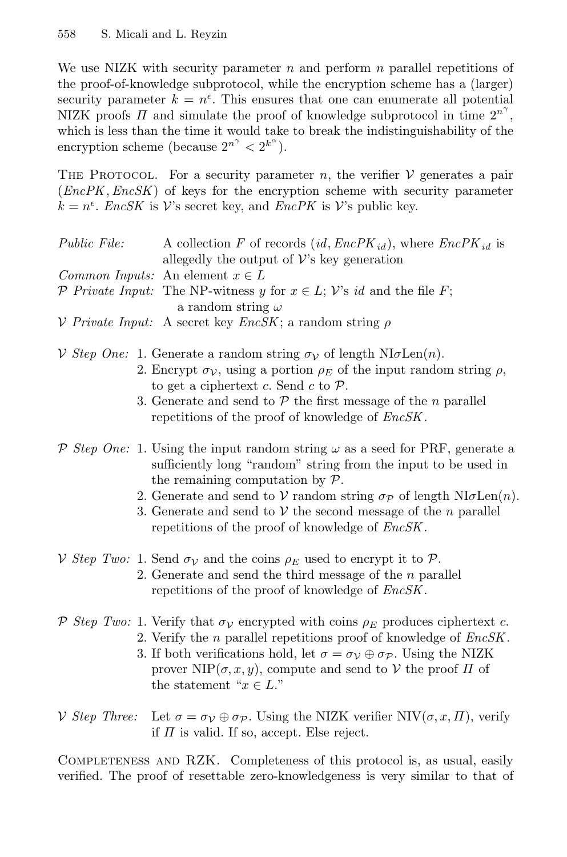We use NIZK with security parameter  $n$  and perform  $n$  parallel repetitions of the proof-of-knowledge subprotocol, while the encryption scheme has a (larger) security parameter  $k = n^{\epsilon}$ . This ensures that one can enumerate all potential NIZK proofs  $\Pi$  and simulate the proof of knowledge subprotocol in time  $2^{n^{\gamma}}$ , which is less than the time it would take to break the indistinguishability of the encryption scheme (because  $2^{n^{\gamma}} < 2^{k^{\alpha}}$ ).

THE PROTOCOL. For a security parameter n, the verifier  $\mathcal V$  generates a pair  $(EncPK, EncSK)$  of keys for the encryption scheme with security parameter  $k = n^{\epsilon}$ . EncSK is V's secret key, and EncPK is V's public key.

| <i>Public File:</i> | A collection F of records $(id, EncPK_{id})$ , where $EncPK_{id}$ is<br>allegedly the output of $\mathcal V$ 's key generation                                                                                                                                                                                                                                                                                                           |
|---------------------|------------------------------------------------------------------------------------------------------------------------------------------------------------------------------------------------------------------------------------------------------------------------------------------------------------------------------------------------------------------------------------------------------------------------------------------|
|                     | <i>Common Inputs:</i> An element $x \in L$<br>P Private Input: The NP-witness y for $x \in L$ ; V's id and the file F;<br>a random string $\omega$                                                                                                                                                                                                                                                                                       |
| $V$ Private Input:  | A secret key <i>EncSK</i> ; a random string $\rho$                                                                                                                                                                                                                                                                                                                                                                                       |
|                     | V Step One: 1. Generate a random string $\sigma_{\mathcal{V}}$ of length NI $\sigma$ Len $(n)$ .<br>2. Encrypt $\sigma_{\mathcal{V}}$ , using a portion $\rho_E$ of the input random string $\rho$ ,<br>to get a ciphertext c. Send c to $\mathcal{P}$ .<br>3. Generate and send to $P$ the first message of the <i>n</i> parallel<br>repetitions of the proof of knowledge of EncSK.                                                    |
|                     | P Step One: 1. Using the input random string $\omega$ as a seed for PRF, generate a<br>sufficiently long "random" string from the input to be used in<br>the remaining computation by $\mathcal{P}$ .<br>2. Generate and send to V random string $\sigma_{\mathcal{P}}$ of length NI $\sigma$ Len $(n)$ .<br>3. Generate and send to $V$ the second message of the n parallel<br>repetitions of the proof of knowledge of <i>EncSK</i> . |
|                     | V Step Two: 1. Send $\sigma_{\mathcal{V}}$ and the coins $\rho_E$ used to encrypt it to P.<br>2. Generate and send the third message of the $n$ parallel<br>repetitions of the proof of knowledge of EncSK.                                                                                                                                                                                                                              |
|                     | P Step Two: 1. Verify that $\sigma_{\mathcal{V}}$ encrypted with coins $\rho_E$ produces ciphertext c.<br>2. Verify the $n$ parallel repetitions proof of knowledge of $EncSK$ .<br>3. If both verifications hold, let $\sigma = \sigma_{\mathcal{V}} \oplus \sigma_{\mathcal{P}}$ . Using the NIZK<br>prover NIP $(\sigma, x, y)$ , compute and send to V the proof $\Pi$ of<br>the statement " $x \in L$ ."                            |
|                     |                                                                                                                                                                                                                                                                                                                                                                                                                                          |

V Step Three: Let  $\sigma = \sigma_{\mathcal{V}} \oplus \sigma_{\mathcal{P}}$ . Using the NIZK verifier NIV $(\sigma, x, \Pi)$ , verify if  $\Pi$  is valid. If so, accept. Else reject.

Completeness and RZK. Completeness of this protocol is, as usual, easily verified. The proof of resettable zero-knowledgeness is very similar to that of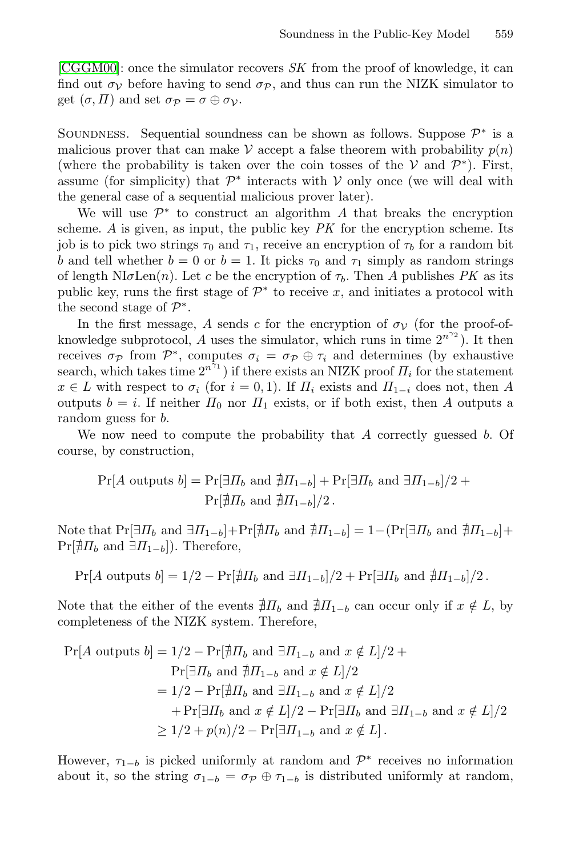$[CGGM00]$ : once the simulator recovers SK from the proof of knowledge, it can find out  $\sigma_{\mathcal{V}}$  before having to send  $\sigma_{\mathcal{P}}$ , and thus can run the NIZK simulator to get  $(\sigma, \Pi)$  and set  $\sigma_{\mathcal{P}} = \sigma \oplus \sigma_{\mathcal{V}}$ .

SOUNDNESS. Sequential soundness can be shown as follows. Suppose  $\mathcal{P}^*$  is a malicious prover that can make  $\mathcal V$  accept a false theorem with probability  $p(n)$ (where the probability is taken over the coin tosses of the  $\mathcal V$  and  $\mathcal P^*$ ). First, assume (for simplicity) that  $\mathcal{P}^*$  interacts with V only once (we will deal with the general case of a sequential malicious prover later).

We will use  $\mathcal{P}^*$  to construct an algorithm A that breaks the encryption scheme. A is given, as input, the public key  $PK$  for the encryption scheme. Its job is to pick two strings  $\tau_0$  and  $\tau_1$ , receive an encryption of  $\tau_b$  for a random bit b and tell whether  $b = 0$  or  $b = 1$ . It picks  $\tau_0$  and  $\tau_1$  simply as random strings of length NI $\sigma$ Len $(n)$ . Let c be the encryption of  $\tau_b$ . Then A publishes PK as its public key, runs the first stage of  $\mathcal{P}^*$  to receive x, and initiates a protocol with the second stage of  $\mathcal{P}^*$ .

In the first message, A sends c for the encryption of  $\sigma_{\mathcal{V}}$  (for the proof-ofknowledge subprotocol, A uses the simulator, which runs in time  $2^{n^{\gamma_2}}$ . It then receives  $\sigma_{\mathcal{P}}$  from  $\mathcal{P}^*$ , computes  $\sigma_i = \sigma_{\mathcal{P}} \oplus \tau_i$  and determines (by exhaustive search, which takes time  $2^{n^{\gamma_1}}$ ) if there exists an NIZK proof  $\Pi_i$  for the statement  $x \in L$  with respect to  $\sigma_i$  (for  $i = 0, 1$ ). If  $\Pi_i$  exists and  $\Pi_{1-i}$  does not, then A outputs  $b = i$ . If neither  $\Pi_0$  nor  $\Pi_1$  exists, or if both exist, then A outputs a random guess for b.

We now need to compute the probability that  $A$  correctly guessed  $b$ . Of course, by construction,

$$
\Pr[A \text{ outputs } b] = \Pr[\exists \Pi_b \text{ and } \nexists \Pi_{1-b}] + \Pr[\exists \Pi_b \text{ and } \exists \Pi_{1-b}]/2 + \Pr[\nexists \Pi_b \text{ and } \nexists \Pi_{1-b}]/2.
$$

Note that  $Pr[\exists \Pi_b \text{ and } \exists \Pi_{1-b}] + Pr[\nexists \Pi_b \text{ and } \nexists \Pi_{1-b}] = 1 - (Pr[\exists \Pi_b \text{ and } \nexists \Pi_{1-b}] +$  $Pr[\nexists \Pi_b \text{ and } \exists \Pi_{1-b}].$  Therefore,

$$
\Pr[A \text{ outputs } b] = 1/2 - \Pr[\nexists \Pi_b \text{ and } \exists \Pi_{1-b}]/2 + \Pr[\exists \Pi_b \text{ and } \nexists \Pi_{1-b}]/2.
$$

Note that the either of the events  $\frac{A}{A} \prod_{b}$  and  $\frac{A}{A} \prod_{1-b}$  can occur only if  $x \notin L$ , by completeness of the NIZK system. Therefore,

$$
\Pr[A \text{ outputs } b] = 1/2 - \Pr[\nexists \Pi_b \text{ and } \exists H_{1-b} \text{ and } x \notin L]/2 +
$$
\n
$$
\Pr[\exists \Pi_b \text{ and } \nexists H_{1-b} \text{ and } x \notin L]/2
$$
\n
$$
= 1/2 - \Pr[\nexists \Pi_b \text{ and } \exists H_{1-b} \text{ and } x \notin L]/2
$$
\n
$$
+ \Pr[\exists \Pi_b \text{ and } x \notin L]/2 - \Pr[\exists \Pi_b \text{ and } \exists H_{1-b} \text{ and } x \notin L]/2
$$
\n
$$
\geq 1/2 + p(n)/2 - \Pr[\exists \Pi_{1-b} \text{ and } x \notin L].
$$

However,  $\tau_{1-b}$  is picked uniformly at random and  $\mathcal{P}^*$  receives no information about it, so the string  $\sigma_{1-b} = \sigma_{\mathcal{P}} \oplus \tau_{1-b}$  is distributed uniformly at random,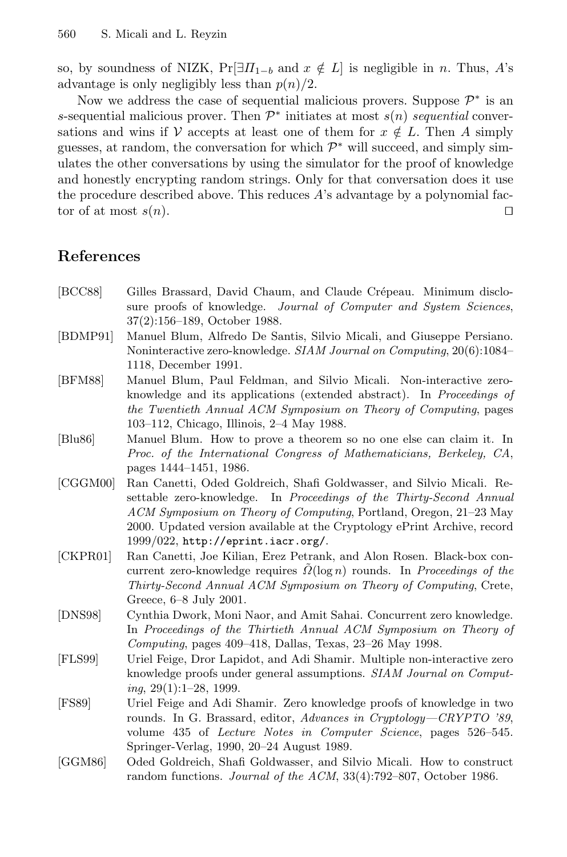<span id="page-18-0"></span>so, by soundness of NIZK,  $Pr[\exists H_{1-b}$  and  $x \notin L]$  is negligible in n. Thus, A's advantage is only negligibly less than  $p(n)/2$ .

Now we address the case of sequential malicious provers. Suppose  $\mathcal{P}^*$  is an s-sequential malicious prover. Then  $\mathcal{P}^*$  initiates at most  $s(n)$  sequential conversations and wins if V accepts at least one of them for  $x \notin L$ . Then A simply guesses, at random, the conversation for which  $\mathcal{P}^*$  will succeed, and simply simulates the other conversations by using the simulator for the proof of knowledge and honestly encrypting random strings. Only for that conversation does it use the procedure described above. This reduces  $A$ 's advantage by a polynomial factor of at most  $s(n)$ .

## **References**

- [BCC88] Gilles Brassard, David Chaum, and Claude Crépeau. Minimum disclosure proofs of knowledge. Journal of Computer and System Sciences, 37(2):156–189, October 1988.
- [BDMP91] Manuel Blum, Alfredo De Santis, Silvio Micali, and Giuseppe Persiano. Noninteractive zero-knowledge. SIAM Journal on Computing, 20(6):1084– 1118, December 1991.
- [BFM88] Manuel Blum, Paul Feldman, and Silvio Micali. Non-interactive zeroknowledge and its applications (extended abstract). In Proceedings of the Twentieth Annual ACM Symposium on Theory of Computing, pages 103–112, Chicago, Illinois, 2–4 May 1988.
- [Blu86] Manuel Blum. How to prove a theorem so no one else can claim it. In Proc. of the International Congress of Mathematicians, Berkeley, CA, pages 1444–1451, 1986.
- [CGGM00] Ran Canetti, Oded Goldreich, Shafi Goldwasser, and Silvio Micali. Resettable zero-knowledge. In Proceedings of the Thirty-Second Annual ACM Symposium on Theory of Computing, Portland, Oregon, 21–23 May 2000. Updated version available at the Cryptology ePrint Archive, record 1999/022, http://eprint.iacr.org/.
- [CKPR01] Ran Canetti, Joe Kilian, Erez Petrank, and Alon Rosen. Black-box concurrent zero-knowledge requires  $\tilde{\Omega}(\log n)$  rounds. In Proceedings of the Thirty-Second Annual ACM Symposium on Theory of Computing, Crete, Greece, 6–8 July 2001.
- [DNS98] Cynthia Dwork, Moni Naor, and Amit Sahai. Concurrent zero knowledge. In Proceedings of the Thirtieth Annual ACM Symposium on Theory of Computing, pages 409–418, Dallas, Texas, 23–26 May 1998.
- [FLS99] Uriel Feige, Dror Lapidot, and Adi Shamir. Multiple non-interactive zero knowledge proofs under general assumptions. SIAM Journal on Comput $ing, 29(1):1-28, 1999.$
- [FS89] Uriel Feige and Adi Shamir. Zero knowledge proofs of knowledge in two rounds. In G. Brassard, editor, Advances in Cryptology—CRYPTO '89, volume 435 of Lecture Notes in Computer Science, pages 526–545. Springer-Verlag, 1990, 20–24 August 1989.
- [GGM86] Oded Goldreich, Shafi Goldwasser, and Silvio Micali. How to construct random functions. Journal of the ACM, 33(4):792–807, October 1986.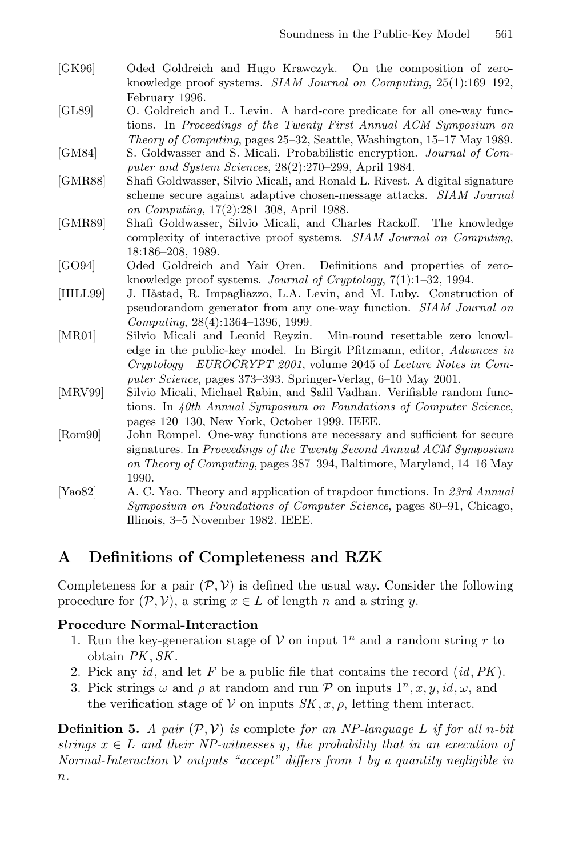- <span id="page-19-0"></span>[GK96] Oded Goldreich and Hugo Krawczyk. On the composition of zeroknowledge proof systems. SIAM Journal on Computing, 25(1):169–192, February 1996.
- [GL89] O. Goldreich and L. Levin. A hard-core predicate for all one-way functions. In Proceedings of the Twenty First Annual ACM Symposium on Theory of Computing, pages 25–32, Seattle, Washington, 15–17 May 1989.
- [GM84] S. Goldwasser and S. Micali. Probabilistic encryption. Journal of Computer and System Sciences, 28(2):270–299, April 1984.
- [GMR88] Shafi Goldwasser, Silvio Micali, and Ronald L. Rivest. A digital signature scheme secure against adaptive chosen-message attacks. SIAM Journal on Computing, 17(2):281–308, April 1988.
- [GMR89] Shafi Goldwasser, Silvio Micali, and Charles Rackoff. The knowledge complexity of interactive proof systems. SIAM Journal on Computing, 18:186–208, 1989.
- [GO94] Oded Goldreich and Yair Oren. Definitions and properties of zeroknowledge proof systems. Journal of Cryptology, 7(1):1–32, 1994.
- [HILL99] J. Håstad, R. Impagliazzo, L.A. Levin, and M. Luby. Construction of pseudorandom generator from any one-way function. SIAM Journal on Computing, 28(4):1364–1396, 1999.
- [MR01] Silvio Micali and Leonid Reyzin. Min-round resettable zero knowledge in the public-key model. In Birgit Pfitzmann, editor, Advances in Cryptology—EUROCRYPT 2001, volume 2045 of Lecture Notes in Computer Science, pages 373–393. Springer-Verlag, 6–10 May 2001.
- [MRV99] Silvio Micali, Michael Rabin, and Salil Vadhan. Verifiable random functions. In 40th Annual Symposium on Foundations of Computer Science, pages 120–130, New York, October 1999. IEEE.
- [Rom90] John Rompel. One-way functions are necessary and sufficient for secure signatures. In Proceedings of the Twenty Second Annual ACM Symposium on Theory of Computing, pages 387–394, Baltimore, Maryland, 14–16 May 1990.
- [Yao82] A. C. Yao. Theory and application of trapdoor functions. In 23rd Annual Symposium on Foundations of Computer Science, pages 80–91, Chicago, Illinois, 3–5 November 1982. IEEE.

## **A Definitions of Completeness and RZK**

Completeness for a pair  $(\mathcal{P}, \mathcal{V})$  is defined the usual way. Consider the following procedure for  $(\mathcal{P}, \mathcal{V})$ , a string  $x \in L$  of length n and a string y.

#### **Procedure Normal-Interaction**

- 1. Run the key-generation stage of V on input  $1^n$  and a random string r to obtain PK, SK.
- 2. Pick any  $id$ , and let F be a public file that contains the record  $(id, PK)$ .
- 3. Pick strings  $\omega$  and  $\rho$  at random and run  $\mathcal P$  on inputs  $1^n, x, y, id, \omega$ , and the verification stage of V on inputs  $SK, x, \rho$ , letting them interact.

**Definition 5.** A pair  $(\mathcal{P}, \mathcal{V})$  is complete for an NP-language L if for all n-bit strings  $x \in L$  and their NP-witnesses y, the probability that in an execution of Normal-Interaction  $\mathcal V$  outputs "accept" differs from 1 by a quantity negligible in  $\boldsymbol{n}$  .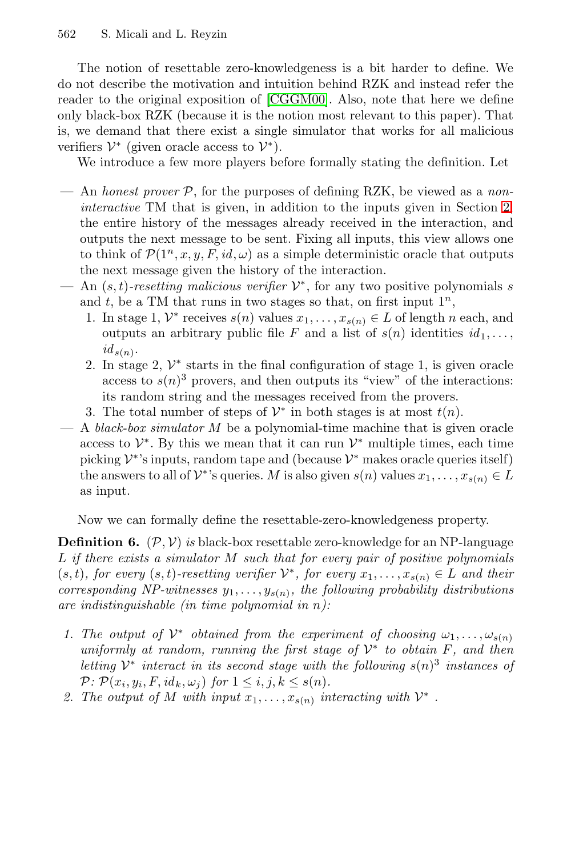The notion of resettable zero-knowledgeness is a bit harder to define. We do not describe the motivation and intuition behind RZK and instead refer the reader to the original exposition of [\[CGGM00\]](#page-18-0). Also, note that here we define only black-box RZK (because it is the notion most relevant to this paper). That is, we demand that there exist a single simulator that works for all malicious verifiers  $\mathcal{V}^*$  (given oracle access to  $\mathcal{V}^*$ ).

We introduce a few more players before formally stating the definition. Let

- An honest prover P, for the purposes of defining RZK, be viewed as a noninteractive TM that is given, in addition to the inputs given in Section [2,](#page-4-0) the entire history of the messages already received in the interaction, and outputs the next message to be sent. Fixing all inputs, this view allows one to think of  $\mathcal{P}(1^n, x, y, F, id, \omega)$  as a simple deterministic oracle that outputs the next message given the history of the interaction.
- An  $(s, t)$ -resetting malicious verifier  $\mathcal{V}^*$ , for any two positive polynomials s and t, be a TM that runs in two stages so that, on first input  $1^n$ ,
	- 1. In stage 1,  $\mathcal{V}^*$  receives  $s(n)$  values  $x_1,\ldots,x_{s(n)} \in L$  of length n each, and outputs an arbitrary public file F and a list of  $s(n)$  identities  $id_1, \ldots,$  $id_{s(n)}$ .
	- 2. In stage 2,  $\mathcal{V}^*$  starts in the final configuration of stage 1, is given oracle access to  $s(n)^3$  provers, and then outputs its "view" of the interactions: its random string and the messages received from the provers.
	- 3. The total number of steps of  $\mathcal{V}^*$  in both stages is at most  $t(n)$ .
- $A$  black-box simulator M be a polynomial-time machine that is given oracle access to  $\mathcal{V}^*$ . By this we mean that it can run  $\mathcal{V}^*$  multiple times, each time picking  $\mathcal{V}^*$ 's inputs, random tape and (because  $\mathcal{V}^*$  makes oracle queries itself) the answers to all of  $\mathcal{V}^*$ 's queries. M is also given  $s(n)$  values  $x_1, \ldots, x_{s(n)} \in L$ as input.

Now we can formally define the resettable-zero-knowledgeness property.

**Definition 6.**  $(\mathcal{P}, \mathcal{V})$  is black-box resettable zero-knowledge for an NP-language  $L$  if there exists a simulator  $M$  such that for every pair of positive polynomials  $(s, t)$ , for every  $(s, t)$ -resetting verifier  $\mathcal{V}^*$ , for every  $x_1, \ldots, x_{s(n)} \in L$  and their corresponding NP-witnesses  $y_1, \ldots, y_{s(n)}$ , the following probability distributions are indistinguishable (in time polynomial in n):

- 1. The output of  $\mathcal{V}^*$  obtained from the experiment of choosing  $\omega_1,\ldots,\omega_{s(n)}$ uniformly at random, running the first stage of  $\mathcal{V}^*$  to obtain F, and then letting  $\mathcal{V}^*$  interact in its second stage with the following  $s(n)^3$  instances of  $\mathcal{P}: \mathcal{P}(x_i, y_i, F, id_k, \omega_j)$  for  $1 \leq i, j, k \leq s(n)$ .
- 2. The output of M with input  $x_1, \ldots, x_{s(n)}$  interacting with  $\mathcal{V}^*$ .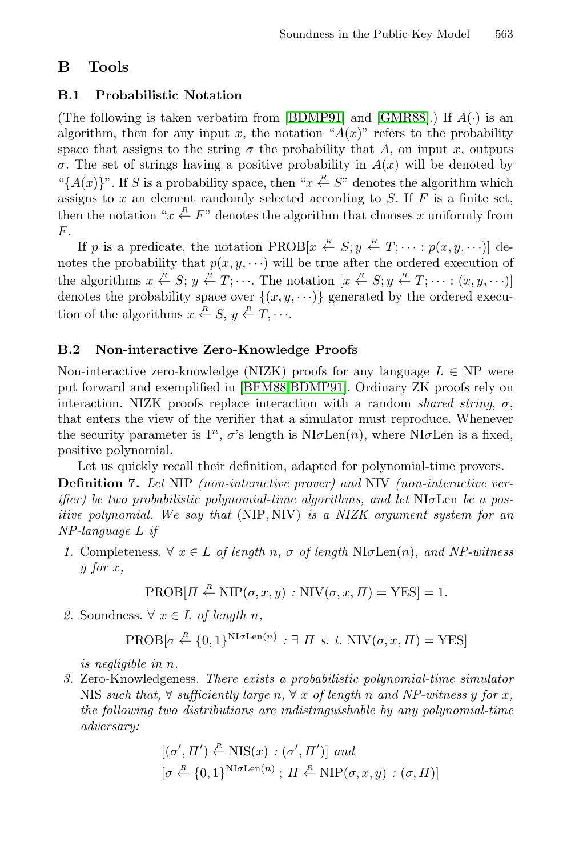## <span id="page-21-0"></span>**B Tools**

### **B.1 Probabilistic Notation**

(The following is taken verbatim from [\[BDMP91\]](#page-18-0) and [\[GMR88\]](#page-19-0).) If  $A(\cdot)$  is an algorithm, then for any input x, the notation " $A(x)$ " refers to the probability space that assigns to the string  $\sigma$  the probability that A, on input x, outputs σ. The set of strings having a positive probability in A(x) will be denoted by " $\{A(x)\}$ ". If S is a probability space, then " $x \stackrel{R}{\leftarrow} S$ " denotes the algorithm which assigns to  $x$  an element randomly selected according to  $S$ . If  $F$  is a finite set, then the notation " $x \stackrel{R}{\leftarrow} F$ " denotes the algorithm that chooses x uniformly from F.

If p is a predicate, the notation  $\text{PROB}[x \stackrel{R}{\leftarrow} S; y \stackrel{R}{\leftarrow} T; \cdots : p(x, y, \cdots)]$  denotes the probability that  $p(x, y, \dots)$  will be true after the ordered execution of the algorithms  $x \stackrel{R}{\leftarrow} S$ ;  $y \stackrel{R}{\leftarrow} T$ ;  $\cdots$ . The notation  $[x \stackrel{R}{\leftarrow} S; y \stackrel{R}{\leftarrow} T; \cdots : (x, y, \cdots)]$ denotes the probability space over  $\{(x, y, \dots)\}$  generated by the ordered execution of the algorithms  $x \stackrel{R}{\leftarrow} S$ ,  $y \stackrel{R}{\leftarrow} T$ ,  $\cdots$ .

### **B.2 Non-interactive Zero-Knowledge Proofs**

Non-interactive zero-knowledge (NIZK) proofs for any language  $L \in NP$  were put forward and exemplified in [\[BFM88,BDMP91\]](#page-18-0). Ordinary ZK proofs rely on interaction. NIZK proofs replace interaction with a random *shared string,*  $\sigma$ , that enters the view of the verifier that a simulator must reproduce. Whenever the security parameter is  $1^n$ ,  $\sigma$ 's length is NI $\sigma$ Len $(n)$ , where NI $\sigma$ Len is a fixed, positive polynomial.

Let us quickly recall their definition, adapted for polynomial-time provers.

**Definition 7.** Let NIP (non-interactive prover) and NIV (non-interactive verifier) be two probabilistic polynomial-time algorithms, and let  $NI\sigma$ Len be a positive polynomial. We say that (NIP, NIV) is a NIZK argument system for an NP-language L if

1. Completeness.  $\forall x \in L$  of length n,  $\sigma$  of length NI $\sigma$ Len $(n)$ , and NP-witness  $y$  for  $x$ ,

$$
\text{PROB}[H \stackrel{R}{\leftarrow} \text{NIP}(\sigma, x, y) : \text{NIV}(\sigma, x, \Pi) = \text{YES}] = 1.
$$

2. Soundness.  $\forall x \in L$  of length n,

$$
PROB[\sigma \stackrel{R}{\leftarrow} \{0,1\}^{NI\sigma Len(n)} : \exists \Pi \ s. \ t. \ NIV(\sigma, x, \Pi) = \text{YES}]
$$

is negligible in n.

3. Zero-Knowledgeness. There exists a probabilistic polynomial-time simulator NIS such that,  $\forall$  sufficiently large n,  $\forall$  x of length n and NP-witness y for x, the following two distributions are indistinguishable by any polynomial-time adversary:

$$
[(\sigma', \Pi') \stackrel{\text{R}}{\leftarrow} \text{NIS}(x) : (\sigma', \Pi') ] \text{ and}
$$
  

$$
[\sigma \stackrel{\text{R}}{\leftarrow} \{0,1\}^{\text{NI}\sigma \text{Len}(n)}; \Pi \stackrel{\text{R}}{\leftarrow} \text{NIP}(\sigma, x, y) : (\sigma, \Pi) ]
$$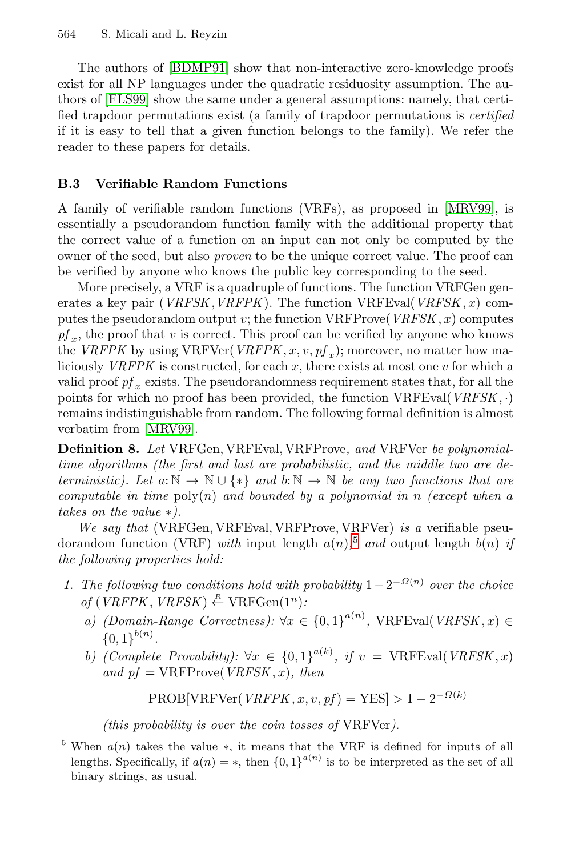<span id="page-22-0"></span>The authors of [\[BDMP91\]](#page-18-0) show that non-interactive zero-knowledge proofs exist for all NP languages under the quadratic residuosity assumption. The authors of [\[FLS99\]](#page-18-0) show the same under a general assumptions: namely, that certified trapdoor permutations exist (a family of trapdoor permutations is certified if it is easy to tell that a given function belongs to the family). We refer the reader to these papers for details.

### **B.3 Verifiable Random Functions**

A family of verifiable random functions (VRFs), as proposed in [\[MRV99\]](#page-19-0), is essentially a pseudorandom function family with the additional property that the correct value of a function on an input can not only be computed by the owner of the seed, but also proven to be the unique correct value. The proof can be verified by anyone who knows the public key corresponding to the seed.

More precisely, a VRF is a quadruple of functions. The function VRFGen generates a key pair (*VRFSK, VRFPK*). The function VRFEval(*VRFSK, x*) computes the pseudorandom output v; the function  $VRFProwe(VRFSK, x)$  computes  $pf<sub>x</sub>$ , the proof that v is correct. This proof can be verified by anyone who knows the VRFPK by using VRFVer(VRFPK, x, v,  $pf_x$ ); moreover, no matter how maliciously *VRFPK* is constructed, for each  $x$ , there exists at most one  $v$  for which a valid proof  $pf_x$  exists. The pseudorandomness requirement states that, for all the points for which no proof has been provided, the function  $VRFEval(VRFSK, \cdot)$ remains indistinguishable from random. The following formal definition is almost verbatim from [\[MRV99\]](#page-19-0).

**Definition 8.** Let VRFGen, VRFEval, VRFProve, and VRFVer be polynomialtime algorithms (the first and last are probabilistic, and the middle two are deterministic). Let  $a: \mathbb{N} \to \mathbb{N} \cup \{*\}$  and  $b: \mathbb{N} \to \mathbb{N}$  be any two functions that are computable in time  $\text{poly}(n)$  and bounded by a polynomial in n (except when a takes on the value ∗).

We say that (VRFGen, VRFEval, VRFProve, VRFVer) is a verifiable pseudorandom function (VRF) with input length  $a(n)$ ,<sup>5</sup> and output length  $b(n)$  if the following properties hold:

- 1. The following two conditions hold with probability  $1-2^{-\Omega(n)}$  over the choice of  $(VRFPK, VRFSK) \stackrel{R}{\leftarrow} VRFGen(1^n)$ :
	- a) (Domain-Range Correctness):  $\forall x \in \{0,1\}^{a(n)}$ , VRFEval(VRFSK, x)  $\in$  ${0,1\}^{b(n)}$ .
	- b) (Complete Provability):  $\forall x \in \{0,1\}^{a(k)}$ , if  $v = \text{VRFEval}(VRFSK, x)$ and  $pf = \text{VRFProve}(VRFSK, x)$ , then

 $PROB[VRFVer(VRFPK, x, v, pf) = YES] > 1 - 2^{-\Omega(k)}$ 

(this probability is over the coin tosses of VRFVer).

<sup>&</sup>lt;sup>5</sup> When  $a(n)$  takes the value  $*$ , it means that the VRF is defined for inputs of all lengths. Specifically, if  $a(n) = *$ , then  $\{0,1\}^{a(n)}$  is to be interpreted as the set of all binary strings, as usual.